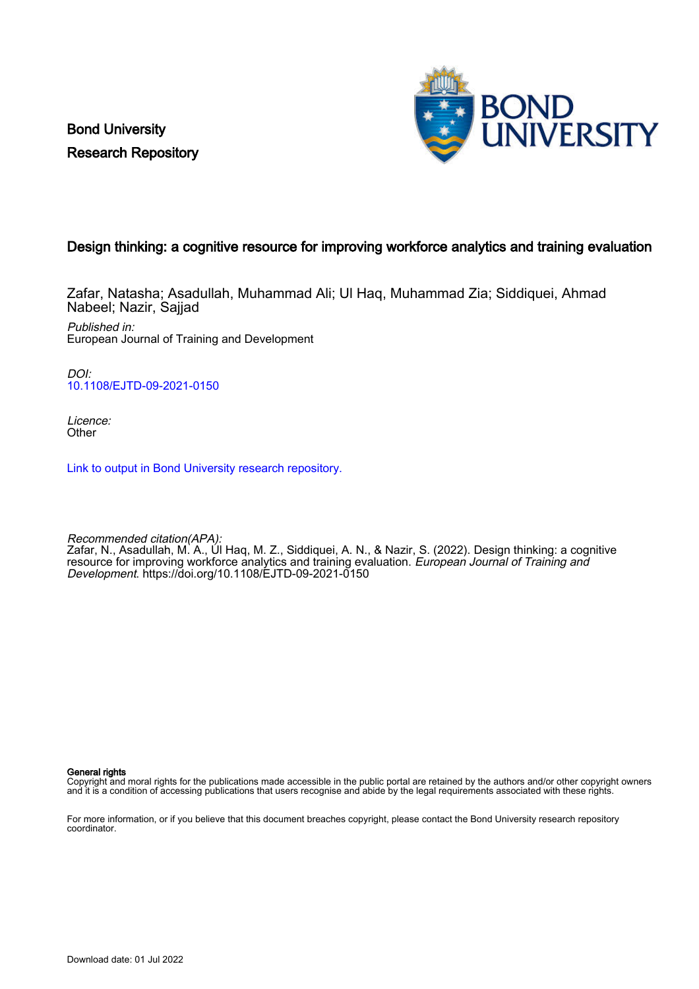Bond University Research Repository



## Design thinking: a cognitive resource for improving workforce analytics and training evaluation

Zafar, Natasha; Asadullah, Muhammad Ali; Ul Haq, Muhammad Zia; Siddiquei, Ahmad Nabeel; Nazir, Sajjad

Published in: European Journal of Training and Development

DOI: [10.1108/EJTD-09-2021-0150](https://doi.org/10.1108/EJTD-09-2021-0150)

Licence: **Other** 

[Link to output in Bond University research repository.](https://research.bond.edu.au/en/publications/5b4b0710-2a0d-4c39-b7f4-6299575a5f81)

Recommended citation(APA): Zafar, N., Asadullah, M. A., Ul Haq, M. Z., Siddiquei, A. N., & Nazir, S. (2022). Design thinking: a cognitive resource for improving workforce analytics and training evaluation. European Journal of Training and Development.<https://doi.org/10.1108/EJTD-09-2021-0150>

General rights

Copyright and moral rights for the publications made accessible in the public portal are retained by the authors and/or other copyright owners and it is a condition of accessing publications that users recognise and abide by the legal requirements associated with these rights.

For more information, or if you believe that this document breaches copyright, please contact the Bond University research repository coordinator.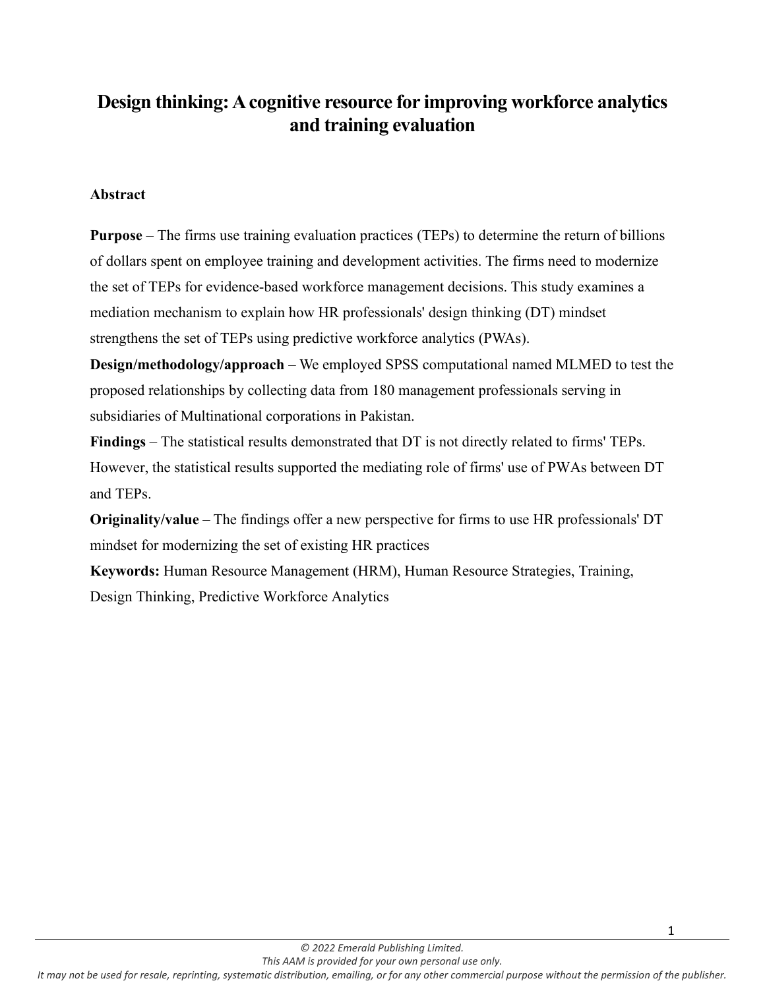# **Design thinking:A cognitive resource for improving workforce analytics and training evaluation**

## **Abstract**

**Purpose** – The firms use training evaluation practices (TEPs) to determine the return of billions of dollars spent on employee training and development activities. The firms need to modernize the set of TEPs for evidence-based workforce management decisions. This study examines a mediation mechanism to explain how HR professionals' design thinking (DT) mindset strengthens the set of TEPs using predictive workforce analytics (PWAs).

**Design/methodology/approach** – We employed SPSS computational named MLMED to test the proposed relationships by collecting data from 180 management professionals serving in subsidiaries of Multinational corporations in Pakistan.

**Findings** – The statistical results demonstrated that DT is not directly related to firms' TEPs. However, the statistical results supported the mediating role of firms' use of PWAs between DT and TEPs.

**Originality/value** – The findings offer a new perspective for firms to use HR professionals' DT mindset for modernizing the set of existing HR practices

**Keywords:** Human Resource Management (HRM), Human Resource Strategies, Training, Design Thinking, Predictive Workforce Analytics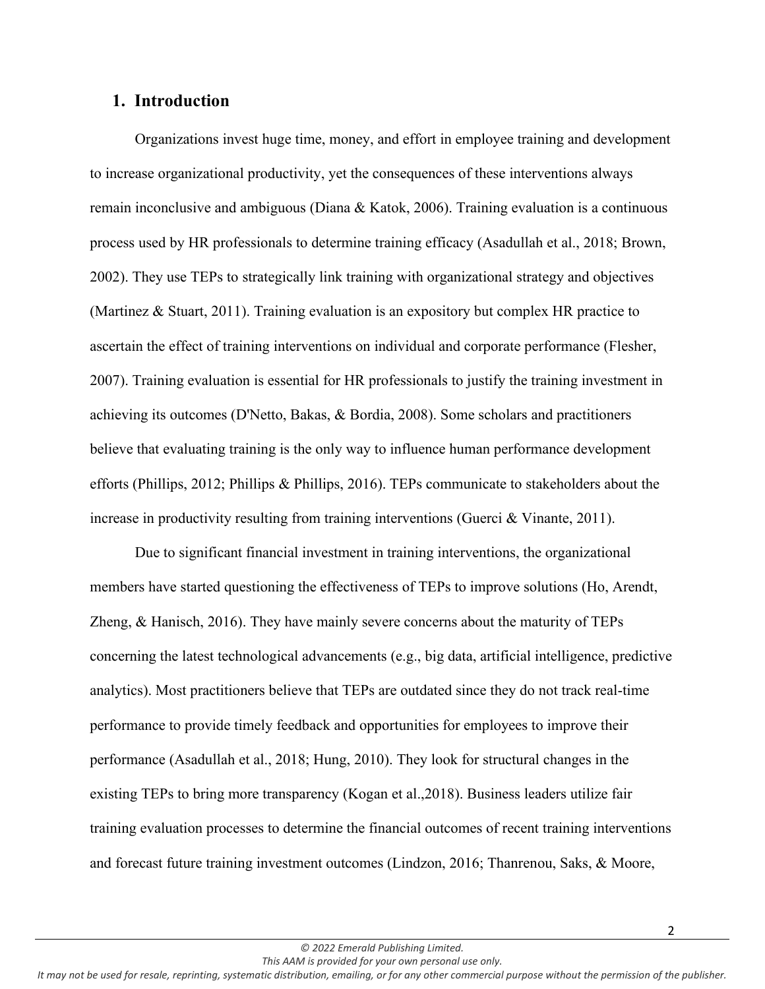## **1. Introduction**

Organizations invest huge time, money, and effort in employee training and development to increase organizational productivity, yet the consequences of these interventions always remain inconclusive and ambiguous (Diana & Katok, 2006). Training evaluation is a continuous process used by HR professionals to determine training efficacy (Asadullah et al., 2018; Brown, 2002). They use TEPs to strategically link training with organizational strategy and objectives (Martinez & Stuart, 2011). Training evaluation is an expository but complex HR practice to ascertain the effect of training interventions on individual and corporate performance (Flesher, 2007). Training evaluation is essential for HR professionals to justify the training investment in achieving its outcomes (D'Netto, Bakas, & Bordia, 2008). Some scholars and practitioners believe that evaluating training is the only way to influence human performance development efforts (Phillips, 2012; Phillips & Phillips, 2016). TEPs communicate to stakeholders about the increase in productivity resulting from training interventions (Guerci & Vinante, 2011).

Due to significant financial investment in training interventions, the organizational members have started questioning the effectiveness of TEPs to improve solutions (Ho, Arendt, Zheng, & Hanisch, 2016). They have mainly severe concerns about the maturity of TEPs concerning the latest technological advancements (e.g., big data, artificial intelligence, predictive analytics). Most practitioners believe that TEPs are outdated since they do not track real-time performance to provide timely feedback and opportunities for employees to improve their performance (Asadullah et al., 2018; Hung, 2010). They look for structural changes in the existing TEPs to bring more transparency (Kogan et al.,2018). Business leaders utilize fair training evaluation processes to determine the financial outcomes of recent training interventions and forecast future training investment outcomes (Lindzon, 2016; Thanrenou, Saks, & Moore,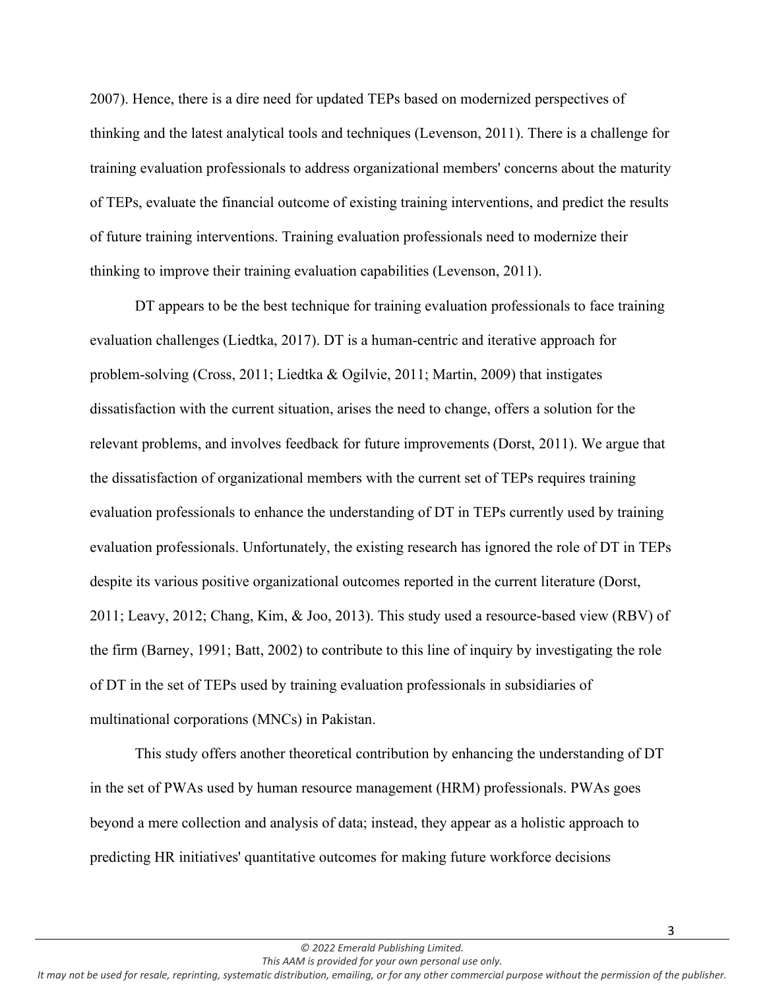2007). Hence, there is a dire need for updated TEPs based on modernized perspectives of thinking and the latest analytical tools and techniques (Levenson, 2011). There is a challenge for training evaluation professionals to address organizational members' concerns about the maturity of TEPs, evaluate the financial outcome of existing training interventions, and predict the results of future training interventions. Training evaluation professionals need to modernize their thinking to improve their training evaluation capabilities (Levenson, 2011).

DT appears to be the best technique for training evaluation professionals to face training evaluation challenges (Liedtka, 2017). DT is a human-centric and iterative approach for problem-solving (Cross, 2011; Liedtka & Ogilvie, 2011; Martin, 2009) that instigates dissatisfaction with the current situation, arises the need to change, offers a solution for the relevant problems, and involves feedback for future improvements (Dorst, 2011). We argue that the dissatisfaction of organizational members with the current set of TEPs requires training evaluation professionals to enhance the understanding of DT in TEPs currently used by training evaluation professionals. Unfortunately, the existing research has ignored the role of DT in TEPs despite its various positive organizational outcomes reported in the current literature (Dorst, 2011; Leavy, 2012; Chang, Kim, & Joo, 2013). This study used a resource-based view (RBV) of the firm (Barney, 1991; Batt, 2002) to contribute to this line of inquiry by investigating the role of DT in the set of TEPs used by training evaluation professionals in subsidiaries of multinational corporations (MNCs) in Pakistan.

This study offers another theoretical contribution by enhancing the understanding of DT in the set of PWAs used by human resource management (HRM) professionals. PWAs goes beyond a mere collection and analysis of data; instead, they appear as a holistic approach to predicting HR initiatives' quantitative outcomes for making future workforce decisions

*This AAM is provided for your own personal use only.*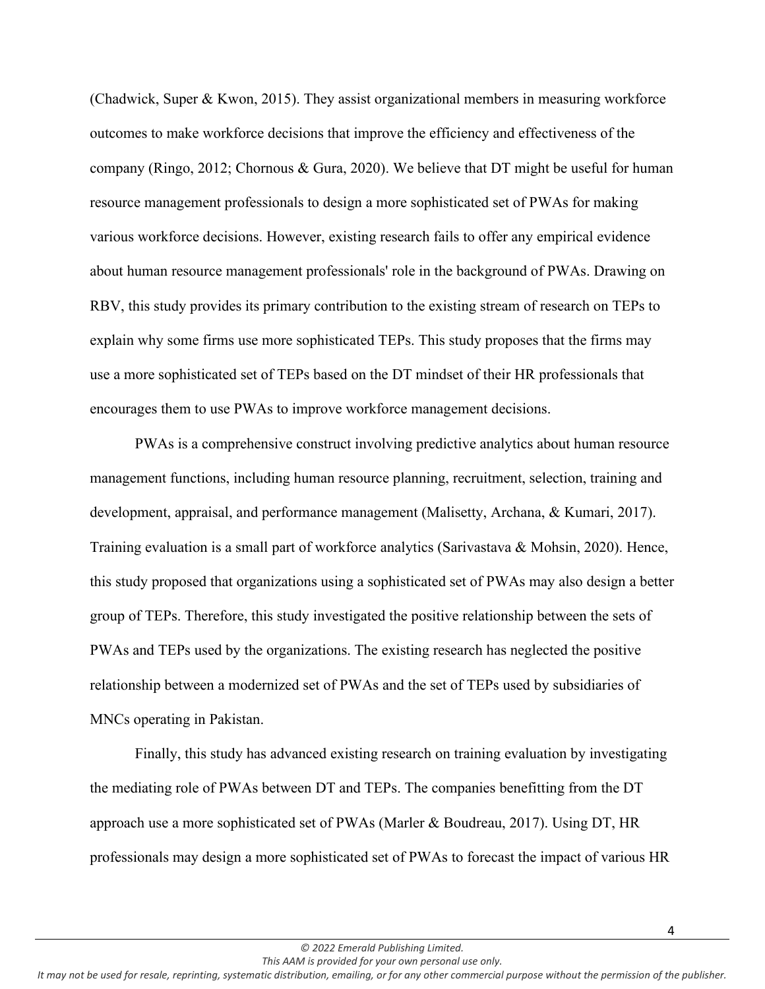(Chadwick, Super & Kwon, 2015). They assist organizational members in measuring workforce outcomes to make workforce decisions that improve the efficiency and effectiveness of the company (Ringo, 2012; Chornous & Gura, 2020). We believe that DT might be useful for human resource management professionals to design a more sophisticated set of PWAs for making various workforce decisions. However, existing research fails to offer any empirical evidence about human resource management professionals' role in the background of PWAs. Drawing on RBV, this study provides its primary contribution to the existing stream of research on TEPs to explain why some firms use more sophisticated TEPs. This study proposes that the firms may use a more sophisticated set of TEPs based on the DT mindset of their HR professionals that encourages them to use PWAs to improve workforce management decisions.

PWAs is a comprehensive construct involving predictive analytics about human resource management functions, including human resource planning, recruitment, selection, training and development, appraisal, and performance management (Malisetty, Archana, & Kumari, 2017). Training evaluation is a small part of workforce analytics (Sarivastava & Mohsin, 2020). Hence, this study proposed that organizations using a sophisticated set of PWAs may also design a better group of TEPs. Therefore, this study investigated the positive relationship between the sets of PWAs and TEPs used by the organizations. The existing research has neglected the positive relationship between a modernized set of PWAs and the set of TEPs used by subsidiaries of MNCs operating in Pakistan.

Finally, this study has advanced existing research on training evaluation by investigating the mediating role of PWAs between DT and TEPs. The companies benefitting from the DT approach use a more sophisticated set of PWAs (Marler & Boudreau, 2017). Using DT, HR professionals may design a more sophisticated set of PWAs to forecast the impact of various HR

*This AAM is provided for your own personal use only.*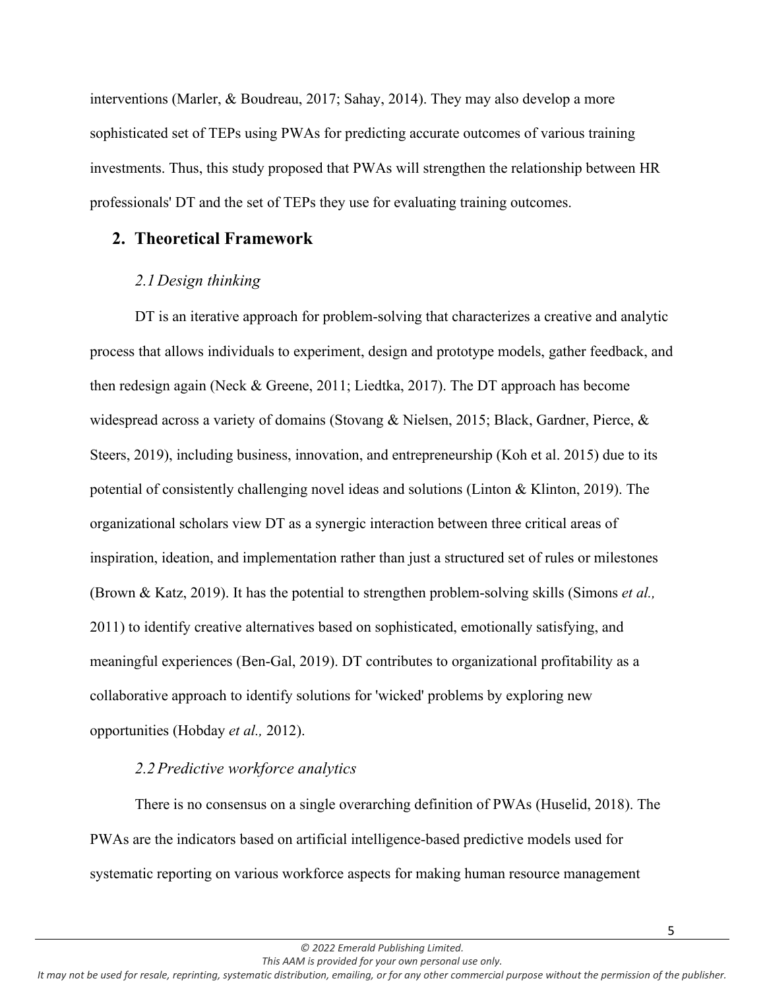interventions (Marler, & Boudreau, 2017; Sahay, 2014). They may also develop a more sophisticated set of TEPs using PWAs for predicting accurate outcomes of various training investments. Thus, this study proposed that PWAs will strengthen the relationship between HR professionals' DT and the set of TEPs they use for evaluating training outcomes.

## **2. Theoretical Framework**

## *2.1Design thinking*

DT is an iterative approach for problem-solving that characterizes a creative and analytic process that allows individuals to experiment, design and prototype models, gather feedback, and then redesign again (Neck & Greene, 2011; Liedtka, 2017). The DT approach has become widespread across a variety of domains (Stovang & Nielsen, 2015; Black, Gardner, Pierce, & Steers, 2019), including business, innovation, and entrepreneurship (Koh et al. 2015) due to its potential of consistently challenging novel ideas and solutions (Linton & Klinton, 2019). The organizational scholars view DT as a synergic interaction between three critical areas of inspiration, ideation, and implementation rather than just a structured set of rules or milestones (Brown & Katz, 2019). It has the potential to strengthen problem-solving skills (Simons *et al.,* 2011) to identify creative alternatives based on sophisticated, emotionally satisfying, and meaningful experiences (Ben-Gal, 2019). DT contributes to organizational profitability as a collaborative approach to identify solutions for 'wicked' problems by exploring new opportunities (Hobday *et al.,* 2012).

## *2.2Predictive workforce analytics*

There is no consensus on a single overarching definition of PWAs (Huselid, 2018). The PWAs are the indicators based on artificial intelligence-based predictive models used for systematic reporting on various workforce aspects for making human resource management

*This AAM is provided for your own personal use only.*

*It may not be used for resale, reprinting, systematic distribution, emailing, or for any other commercial purpose without the permission of the publisher.*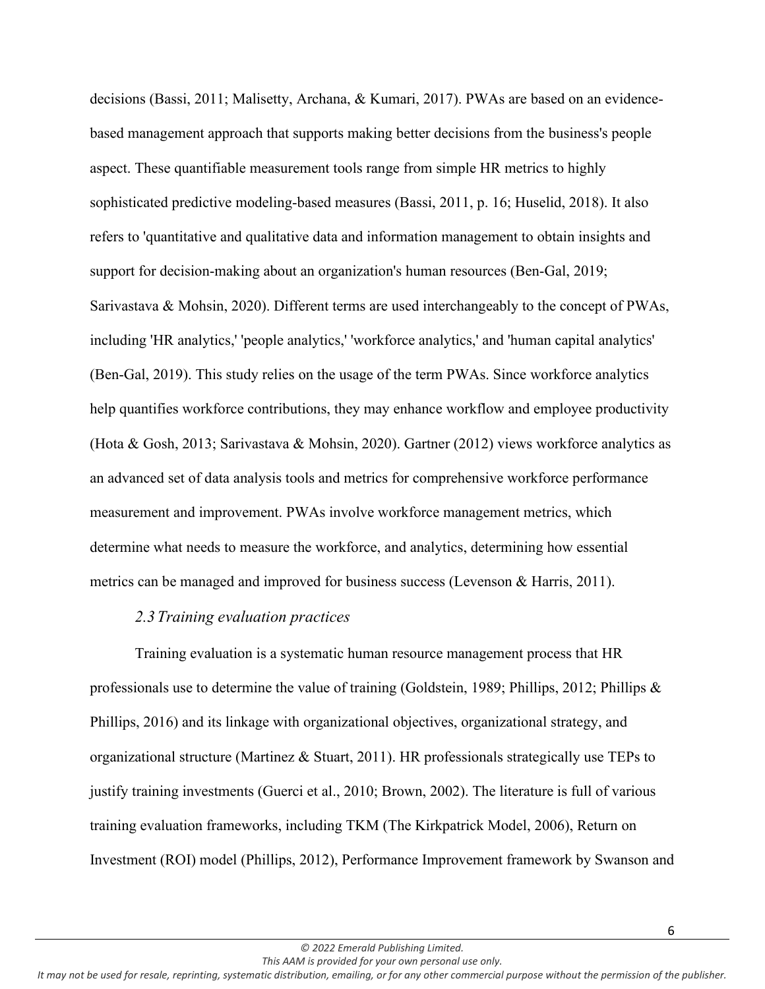decisions (Bassi, 2011; Malisetty, Archana, & Kumari, 2017). PWAs are based on an evidencebased management approach that supports making better decisions from the business's people aspect. These quantifiable measurement tools range from simple HR metrics to highly sophisticated predictive modeling-based measures (Bassi, 2011, p. 16; Huselid, 2018). It also refers to 'quantitative and qualitative data and information management to obtain insights and support for decision-making about an organization's human resources (Ben-Gal, 2019; Sarivastava & Mohsin, 2020). Different terms are used interchangeably to the concept of PWAs, including 'HR analytics,' 'people analytics,' 'workforce analytics,' and 'human capital analytics' [\(Ben-Gal, 2](https://www.emerald.com/insight/search?q=Hila%20Chalutz%20Ben-Gal)019). This study relies on the usage of the term PWAs. Since workforce analytics help quantifies workforce contributions, they may enhance workflow and employee productivity (Hota & Gosh, 2013; Sarivastava & Mohsin, 2020). Gartner (2012) views workforce analytics as an advanced set of data analysis tools and metrics for comprehensive workforce performance measurement and improvement. PWAs involve workforce management metrics, which determine what needs to measure the workforce, and analytics, determining how essential metrics can be managed and improved for business success (Levenson & Harris, 2011).

#### *2.3Training evaluation practices*

Training evaluation is a systematic human resource management process that HR professionals use to determine the value of training (Goldstein, 1989; Phillips, 2012; Phillips & Phillips, 2016) and its linkage with organizational objectives, organizational strategy, and organizational structure (Martinez & Stuart, 2011). HR professionals strategically use TEPs to justify training investments (Guerci et al., 2010; Brown, 2002). The literature is full of various training evaluation frameworks, including TKM (The Kirkpatrick Model, 2006), Return on Investment (ROI) model (Phillips, 2012), Performance Improvement framework by Swanson and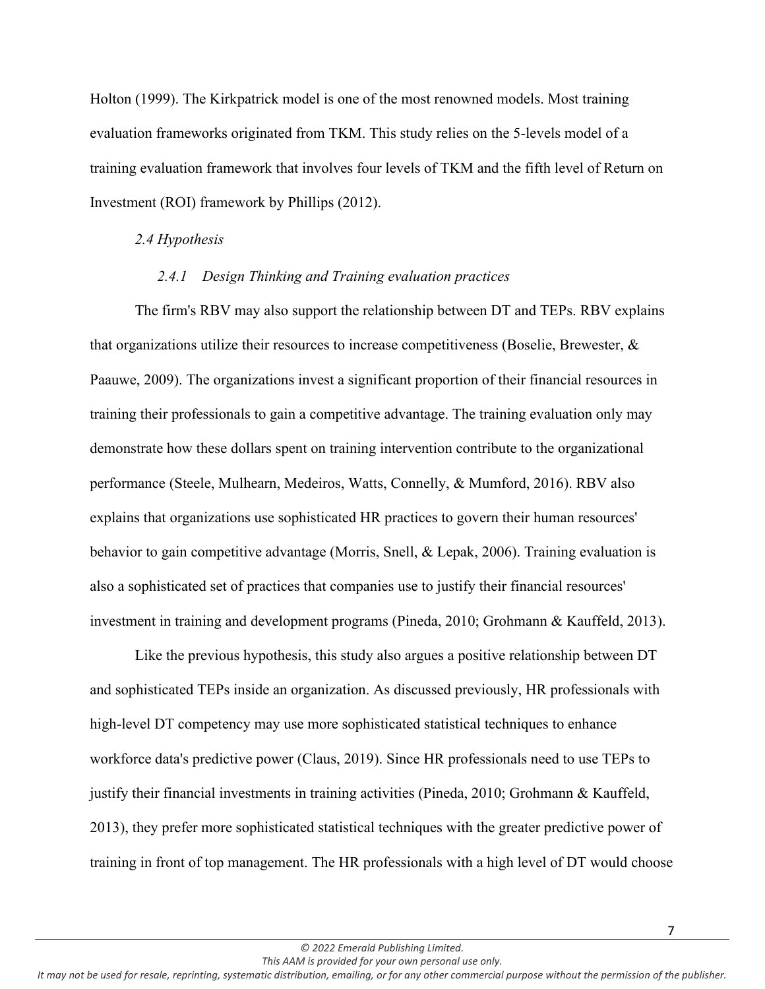Holton (1999). The Kirkpatrick model is one of the most renowned models. Most training evaluation frameworks originated from TKM. This study relies on the 5-levels model of a training evaluation framework that involves four levels of TKM and the fifth level of Return on Investment (ROI) framework by Phillips (2012).

#### *2.4 Hypothesis*

#### *2.4.1 Design Thinking and Training evaluation practices*

The firm's RBV may also support the relationship between DT and TEPs. RBV explains that organizations utilize their resources to increase competitiveness (Boselie, Brewester, & Paauwe, 2009). The organizations invest a significant proportion of their financial resources in training their professionals to gain a competitive advantage. The training evaluation only may demonstrate how these dollars spent on training intervention contribute to the organizational performance (Steele, Mulhearn, Medeiros, Watts, Connelly, & Mumford, 2016). RBV also explains that organizations use sophisticated HR practices to govern their human resources' behavior to gain competitive advantage (Morris, Snell, & Lepak, 2006). Training evaluation is also a sophisticated set of practices that companies use to justify their financial resources' investment in training and development programs (Pineda, 2010; Grohmann & Kauffeld, 2013).

Like the previous hypothesis, this study also argues a positive relationship between DT and sophisticated TEPs inside an organization. As discussed previously, HR professionals with high-level DT competency may use more sophisticated statistical techniques to enhance workforce data's predictive power (Claus, 2019). Since HR professionals need to use TEPs to justify their financial investments in training activities (Pineda, 2010; Grohmann & Kauffeld, 2013), they prefer more sophisticated statistical techniques with the greater predictive power of training in front of top management. The HR professionals with a high level of DT would choose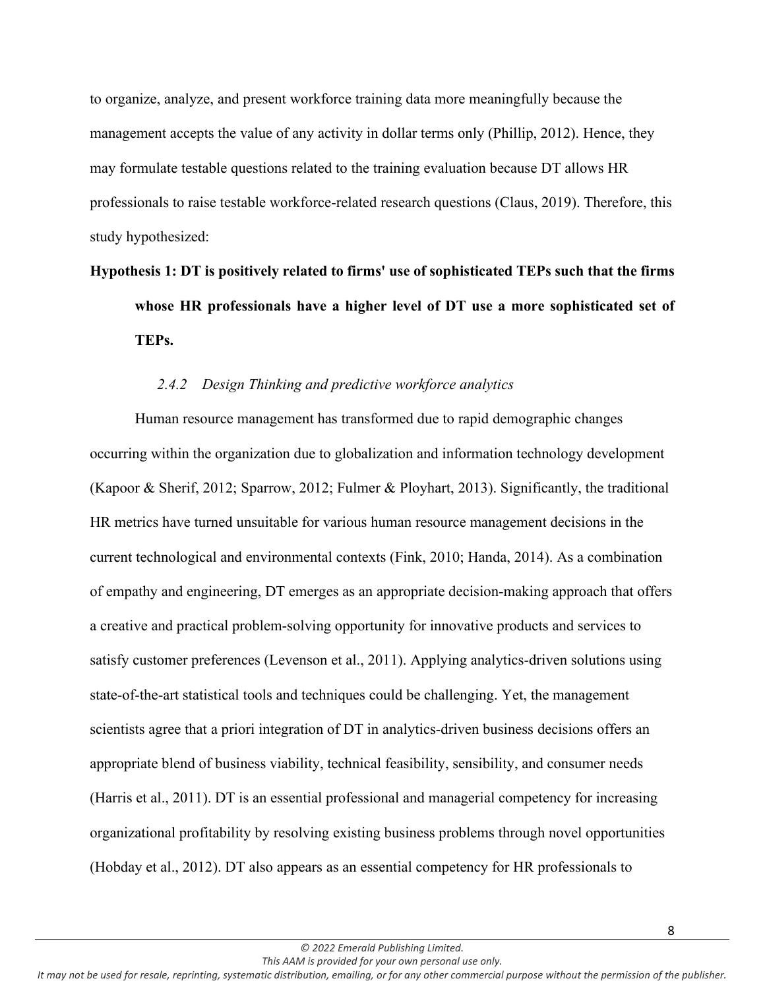to organize, analyze, and present workforce training data more meaningfully because the management accepts the value of any activity in dollar terms only (Phillip, 2012). Hence, they may formulate testable questions related to the training evaluation because DT allows HR professionals to raise testable workforce-related research questions (Claus, 2019). Therefore, this study hypothesized:

# **Hypothesis 1: DT is positively related to firms' use of sophisticated TEPs such that the firms whose HR professionals have a higher level of DT use a more sophisticated set of TEPs.**

## *2.4.2 Design Thinking and predictive workforce analytics*

Human resource management has transformed due to rapid demographic changes occurring within the organization due to globalization and information technology development (Kapoor & Sherif, 2012; Sparrow, 2012; Fulmer & Ployhart, 2013). Significantly, the traditional HR metrics have turned unsuitable for various human resource management decisions in the current technological and environmental contexts (Fink, 2010; Handa, 2014). As a combination of empathy and engineering, DT emerges as an appropriate decision-making approach that offers a creative and practical problem-solving opportunity for innovative products and services to satisfy customer preferences (Levenson et al., 2011). Applying analytics-driven solutions using state-of-the-art statistical tools and techniques could be challenging. Yet, the management scientists agree that a priori integration of DT in analytics-driven business decisions offers an appropriate blend of business viability, technical feasibility, sensibility, and consumer needs (Harris et al., 2011). DT is an essential professional and managerial competency for increasing organizational profitability by resolving existing business problems through novel opportunities (Hobday et al., 2012). DT also appears as an essential competency for HR professionals to

*This AAM is provided for your own personal use only. It may not be used for resale, reprinting, systematic distribution, emailing, or for any other commercial purpose without the permission of the publisher.*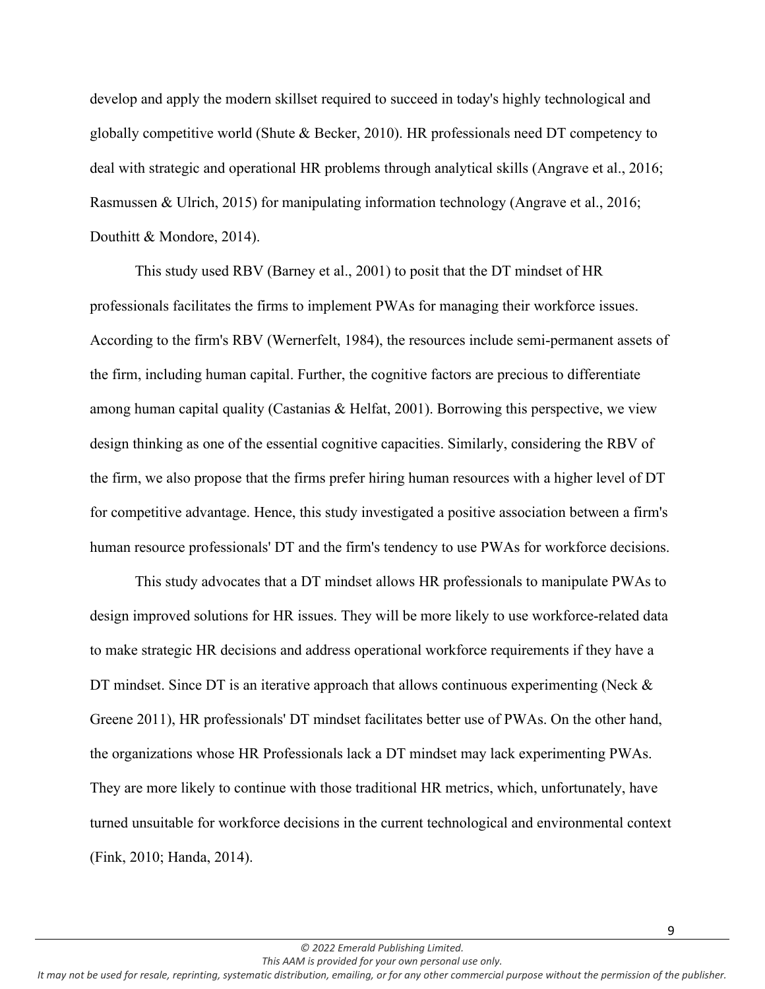develop and apply the modern skillset required to succeed in today's highly technological and globally competitive world (Shute & Becker, 2010). HR professionals need DT competency to deal with strategic and operational HR problems through analytical skills (Angrave et al., 2016; Rasmussen & Ulrich, 2015) for manipulating information technology (Angrave et al., 2016; Douthitt & Mondore, 2014).

This study used RBV (Barney et al., 2001) to posit that the DT mindset of HR professionals facilitates the firms to implement PWAs for managing their workforce issues. According to the firm's RBV (Wernerfelt, 1984), the resources include semi-permanent assets of the firm, including human capital. Further, the cognitive factors are precious to differentiate among human capital quality (Castanias & Helfat, 2001). Borrowing this perspective, we view design thinking as one of the essential cognitive capacities. Similarly, considering the RBV of the firm, we also propose that the firms prefer hiring human resources with a higher level of DT for competitive advantage. Hence, this study investigated a positive association between a firm's human resource professionals' DT and the firm's tendency to use PWAs for workforce decisions.

This study advocates that a DT mindset allows HR professionals to manipulate PWAs to design improved solutions for HR issues. They will be more likely to use workforce-related data to make strategic HR decisions and address operational workforce requirements if they have a DT mindset. Since DT is an iterative approach that allows continuous experimenting (Neck  $\&$ Greene 2011), HR professionals' DT mindset facilitates better use of PWAs. On the other hand, the organizations whose HR Professionals lack a DT mindset may lack experimenting PWAs. They are more likely to continue with those traditional HR metrics, which, unfortunately, have turned unsuitable for workforce decisions in the current technological and environmental context (Fink, 2010; Handa, 2014).

9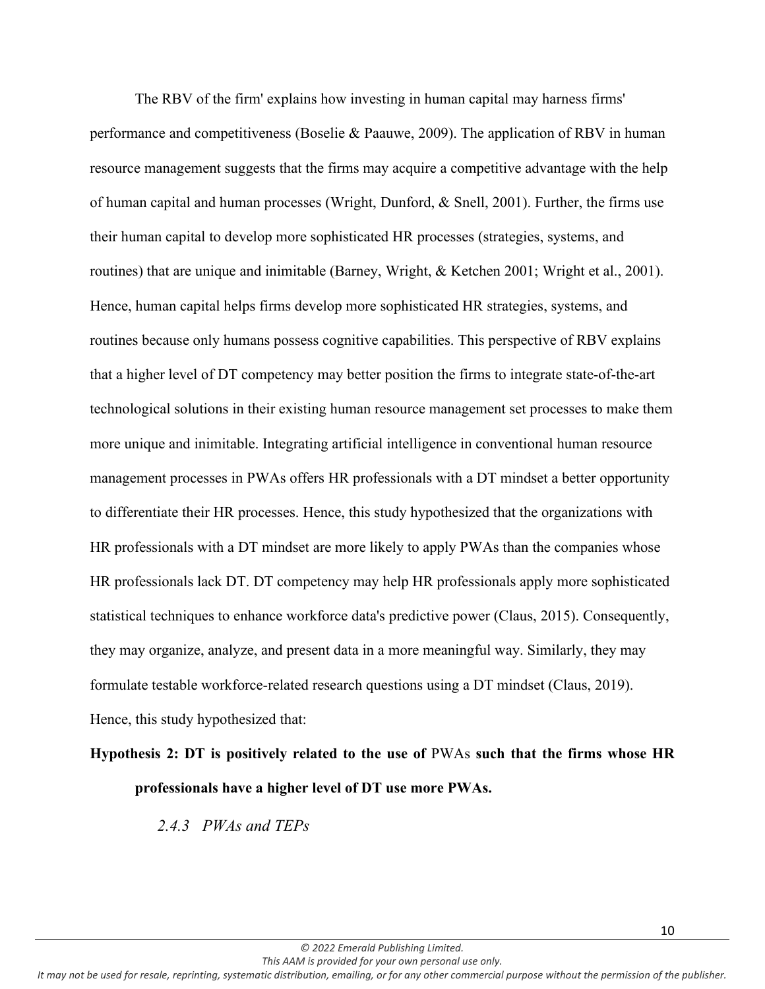The RBV of the firm' explains how investing in human capital may harness firms' performance and competitiveness (Boselie & Paauwe, 2009). The application of RBV in human resource management suggests that the firms may acquire a competitive advantage with the help of human capital and human processes (Wright, Dunford, & Snell, 2001). Further, the firms use their human capital to develop more sophisticated HR processes (strategies, systems, and routines) that are unique and inimitable (Barney, Wright, & Ketchen 2001; Wright et al., 2001). Hence, human capital helps firms develop more sophisticated HR strategies, systems, and routines because only humans possess cognitive capabilities. This perspective of RBV explains that a higher level of DT competency may better position the firms to integrate state-of-the-art technological solutions in their existing human resource management set processes to make them more unique and inimitable. Integrating artificial intelligence in conventional human resource management processes in PWAs offers HR professionals with a DT mindset a better opportunity to differentiate their HR processes. Hence, this study hypothesized that the organizations with HR professionals with a DT mindset are more likely to apply PWAs than the companies whose HR professionals lack DT. DT competency may help HR professionals apply more sophisticated statistical techniques to enhance workforce data's predictive power (Claus, 2015). Consequently, they may organize, analyze, and present data in a more meaningful way. Similarly, they may formulate testable workforce-related research questions using a DT mindset (Claus, 2019). Hence, this study hypothesized that:

# **Hypothesis 2: DT is positively related to the use of** PWAs **such that the firms whose HR professionals have a higher level of DT use more PWAs.**

*2.4.3 PWAs and TEPs*

*© 2022 Emerald Publishing Limited. This AAM is provided for your own personal use only.*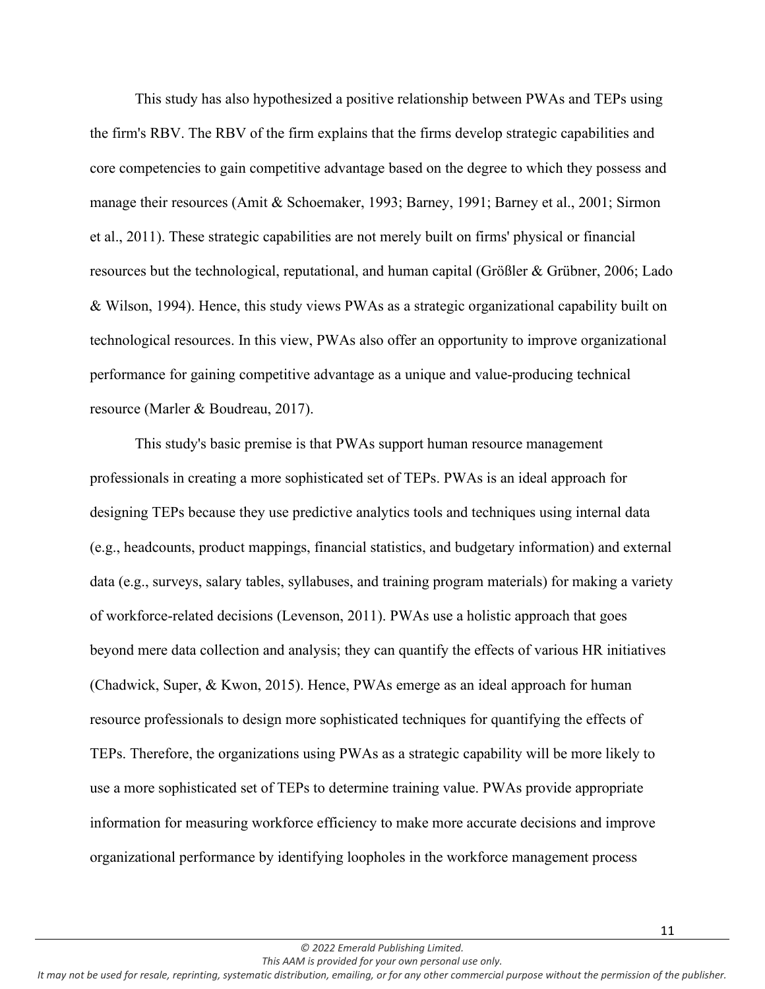This study has also hypothesized a positive relationship between PWAs and TEPs using the firm's RBV. The RBV of the firm explains that the firms develop strategic capabilities and core competencies to gain competitive advantage based on the degree to which they possess and manage their resources (Amit & Schoemaker, 1993; Barney, 1991; Barney et al., 2001; Sirmon et al., 2011). These strategic capabilities are not merely built on firms' physical or financial resources but the technological, reputational, and human capital (Größler & Grübner, 2006; Lado & Wilson, 1994). Hence, this study views PWAs as a strategic organizational capability built on technological resources. In this view, PWAs also offer an opportunity to improve organizational performance for gaining competitive advantage as a unique and value-producing technical resource (Marler & Boudreau, 2017).

This study's basic premise is that PWAs support human resource management professionals in creating a more sophisticated set of TEPs. PWAs is an ideal approach for designing TEPs because they use predictive analytics tools and techniques using internal data (e.g., headcounts, product mappings, financial statistics, and budgetary information) and external data (e.g., surveys, salary tables, syllabuses, and training program materials) for making a variety of workforce-related decisions (Levenson, 2011). PWAs use a holistic approach that goes beyond mere data collection and analysis; they can quantify the effects of various HR initiatives (Chadwick, Super, & Kwon, 2015). Hence, PWAs emerge as an ideal approach for human resource professionals to design more sophisticated techniques for quantifying the effects of TEPs. Therefore, the organizations using PWAs as a strategic capability will be more likely to use a more sophisticated set of TEPs to determine training value. PWAs provide appropriate information for measuring workforce efficiency to make more accurate decisions and improve organizational performance by identifying loopholes in the workforce management process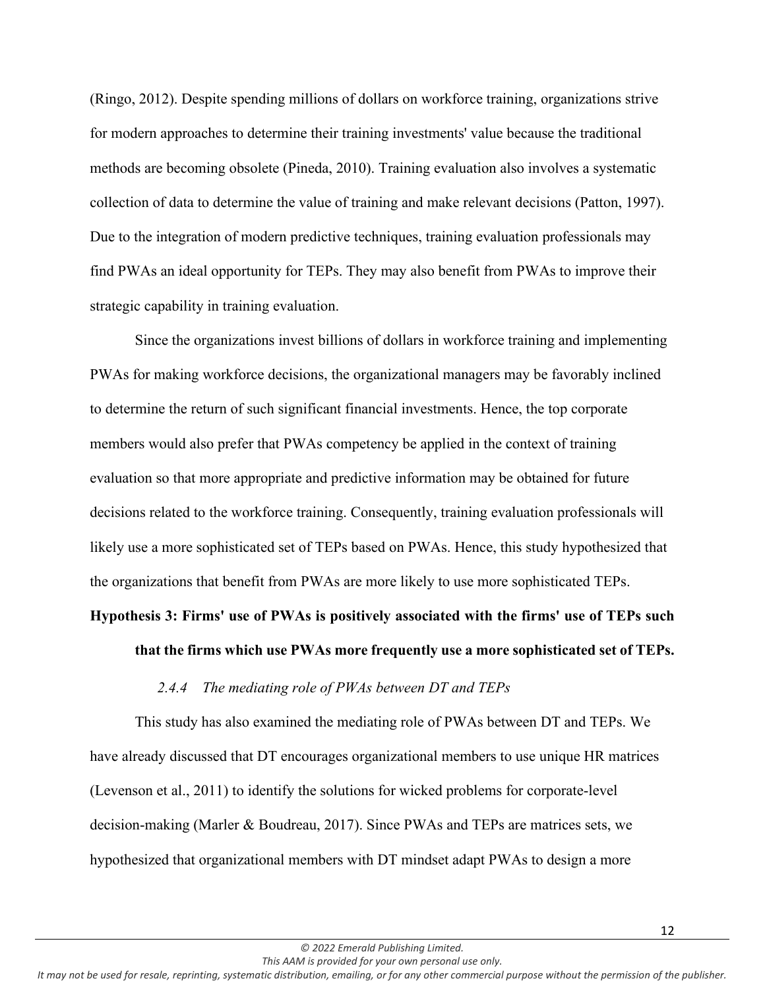(Ringo, 2012). Despite spending millions of dollars on workforce training, organizations strive for modern approaches to determine their training investments' value because the traditional methods are becoming obsolete (Pineda, 2010). Training evaluation also involves a systematic collection of data to determine the value of training and make relevant decisions (Patton, 1997). Due to the integration of modern predictive techniques, training evaluation professionals may find PWAs an ideal opportunity for TEPs. They may also benefit from PWAs to improve their strategic capability in training evaluation.

Since the organizations invest billions of dollars in workforce training and implementing PWAs for making workforce decisions, the organizational managers may be favorably inclined to determine the return of such significant financial investments. Hence, the top corporate members would also prefer that PWAs competency be applied in the context of training evaluation so that more appropriate and predictive information may be obtained for future decisions related to the workforce training. Consequently, training evaluation professionals will likely use a more sophisticated set of TEPs based on PWAs. Hence, this study hypothesized that the organizations that benefit from PWAs are more likely to use more sophisticated TEPs.

## **Hypothesis 3: Firms' use of PWAs is positively associated with the firms' use of TEPs such**

#### **that the firms which use PWAs more frequently use a more sophisticated set of TEPs.**

## *2.4.4 The mediating role of PWAs between DT and TEPs*

This study has also examined the mediating role of PWAs between DT and TEPs. We have already discussed that DT encourages organizational members to use unique HR matrices (Levenson et al., 2011) to identify the solutions for wicked problems for corporate-level decision-making (Marler & Boudreau, 2017). Since PWAs and TEPs are matrices sets, we hypothesized that organizational members with DT mindset adapt PWAs to design a more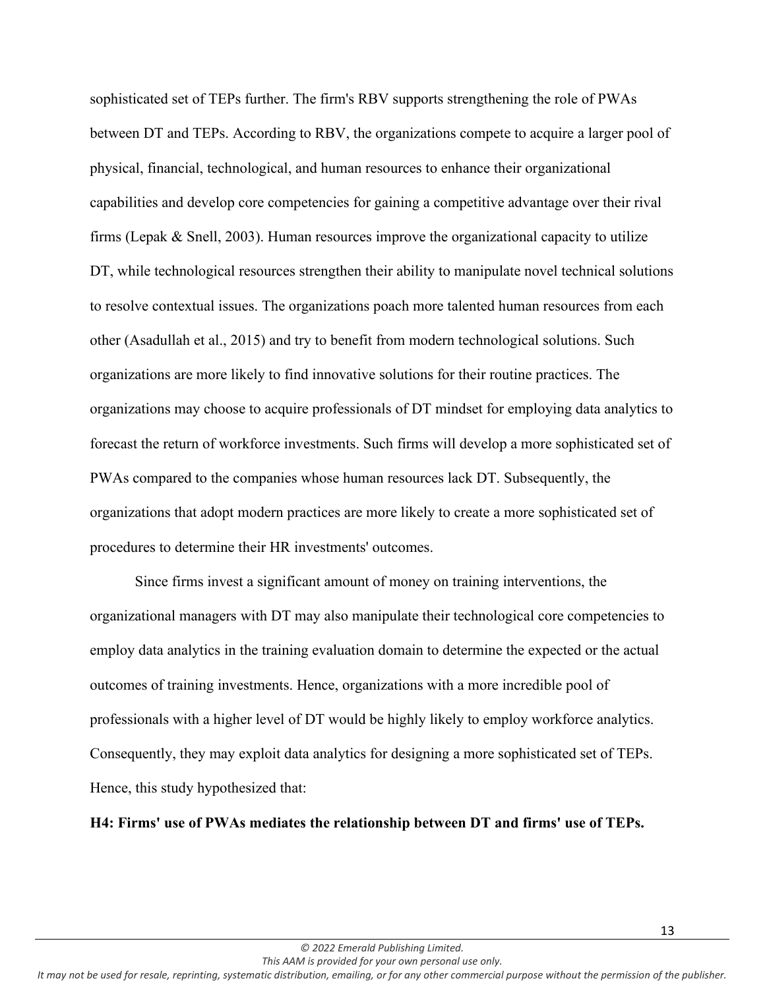sophisticated set of TEPs further. The firm's RBV supports strengthening the role of PWAs between DT and TEPs. According to RBV, the organizations compete to acquire a larger pool of physical, financial, technological, and human resources to enhance their organizational capabilities and develop core competencies for gaining a competitive advantage over their rival firms (Lepak & Snell, 2003). Human resources improve the organizational capacity to utilize DT, while technological resources strengthen their ability to manipulate novel technical solutions to resolve contextual issues. The organizations poach more talented human resources from each other (Asadullah et al., 2015) and try to benefit from modern technological solutions. Such organizations are more likely to find innovative solutions for their routine practices. The organizations may choose to acquire professionals of DT mindset for employing data analytics to forecast the return of workforce investments. Such firms will develop a more sophisticated set of PWAs compared to the companies whose human resources lack DT. Subsequently, the organizations that adopt modern practices are more likely to create a more sophisticated set of procedures to determine their HR investments' outcomes.

Since firms invest a significant amount of money on training interventions, the organizational managers with DT may also manipulate their technological core competencies to employ data analytics in the training evaluation domain to determine the expected or the actual outcomes of training investments. Hence, organizations with a more incredible pool of professionals with a higher level of DT would be highly likely to employ workforce analytics. Consequently, they may exploit data analytics for designing a more sophisticated set of TEPs. Hence, this study hypothesized that:

**H4: Firms' use of PWAs mediates the relationship between DT and firms' use of TEPs.**

*This AAM is provided for your own personal use only.*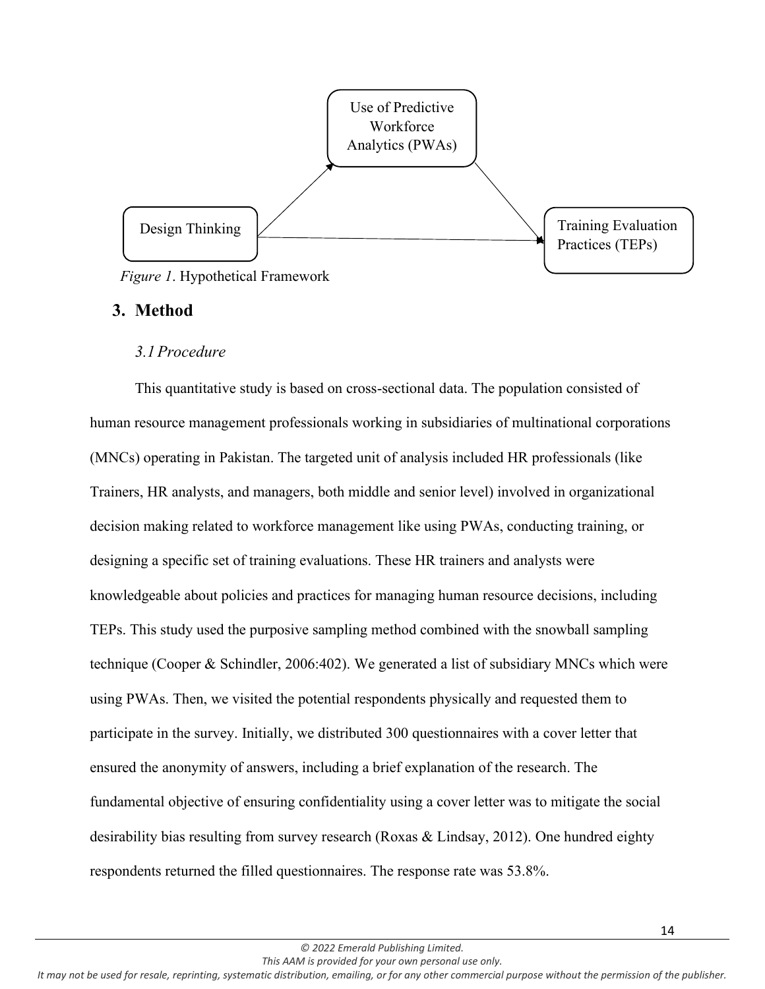

# **3. Method**

## *3.1Procedure*

This quantitative study is based on cross-sectional data. The population consisted of human resource management professionals working in subsidiaries of multinational corporations (MNCs) operating in Pakistan. The targeted unit of analysis included HR professionals (like Trainers, HR analysts, and managers, both middle and senior level) involved in organizational decision making related to workforce management like using PWAs, conducting training, or designing a specific set of training evaluations. These HR trainers and analysts were knowledgeable about policies and practices for managing human resource decisions, including TEPs. This study used the purposive sampling method combined with the snowball sampling technique (Cooper & Schindler, 2006:402). We generated a list of subsidiary MNCs which were using PWAs. Then, we visited the potential respondents physically and requested them to participate in the survey. Initially, we distributed 300 questionnaires with a cover letter that ensured the anonymity of answers, including a brief explanation of the research. The fundamental objective of ensuring confidentiality using a cover letter was to mitigate the social desirability bias resulting from survey research (Roxas & Lindsay, 2012). One hundred eighty respondents returned the filled questionnaires. The response rate was 53.8%.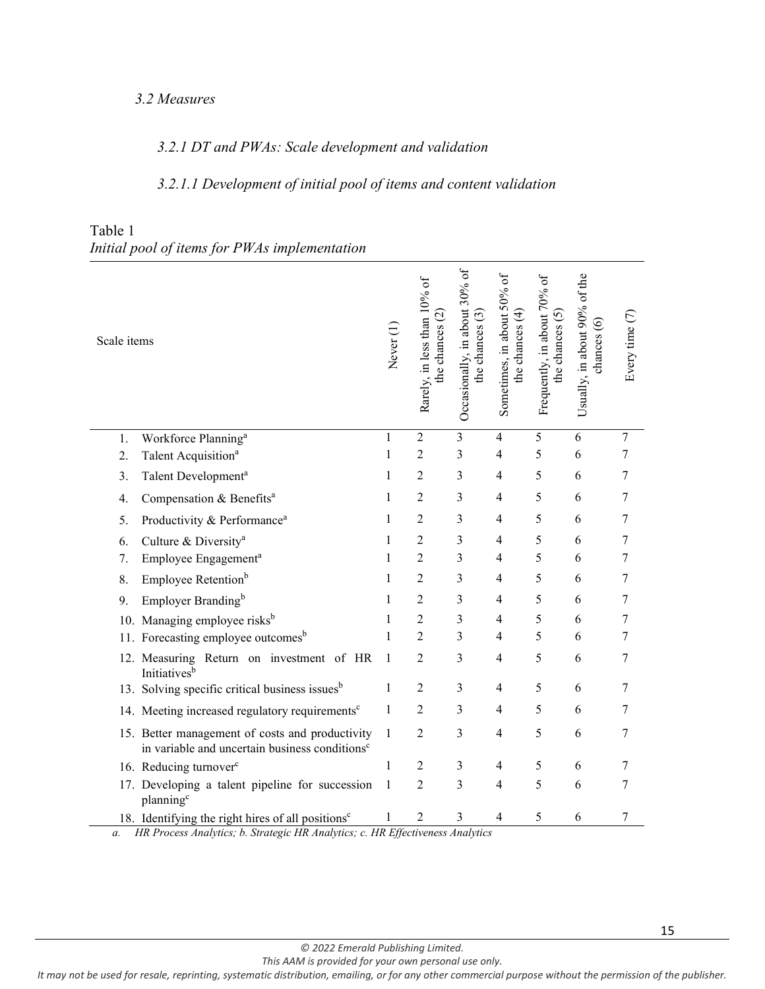## *3.2 Measures*

# *3.2.1 DT and PWAs: Scale development and validation*

# *3.2.1.1 Development of initial pool of items and content validation*

| Scale items |                                                                                                               | Never <sup>(1</sup> | Rarely, in less than 10% of<br>the chances $(2)$ | Occasionally, in about 30% of<br>the chances $(3)$ | Sometimes, in about 50% of<br>the chances $(4)$ | Frequently, in about 70% of<br>the chances $(5)$ | Usually, in about 90% of the<br>chances (6) | Every time (7) |
|-------------|---------------------------------------------------------------------------------------------------------------|---------------------|--------------------------------------------------|----------------------------------------------------|-------------------------------------------------|--------------------------------------------------|---------------------------------------------|----------------|
| 1.          | Workforce Planning <sup>a</sup>                                                                               | $\mathbf{1}$        | $\overline{2}$                                   | $\overline{\mathbf{3}}$                            | $\overline{4}$                                  | $\overline{5}$                                   | 6                                           | $\overline{7}$ |
| 2.          | Talent Acquisition <sup>a</sup>                                                                               | $\mathbf{1}$        | $\overline{c}$                                   | $\overline{3}$                                     | $\overline{4}$                                  | 5                                                | 6                                           | 7              |
| 3.          | Talent Development <sup>a</sup>                                                                               | $\mathbf{1}$        | $\overline{2}$                                   | 3                                                  | $\overline{4}$                                  | 5                                                | 6                                           | 7              |
| 4.          | Compensation & Benefits <sup>a</sup>                                                                          | 1                   | $\overline{2}$                                   | 3                                                  | $\overline{4}$                                  | 5                                                | 6                                           | 7              |
| 5.          | Productivity & Performance <sup>a</sup>                                                                       | $\mathbf{1}$        | $\overline{c}$                                   | 3                                                  | $\overline{4}$                                  | 5                                                | 6                                           | 7              |
| 6.          | Culture & Diversity <sup>a</sup>                                                                              | $\mathbf{1}$        | $\overline{2}$                                   | 3                                                  | $\overline{4}$                                  | 5                                                | 6                                           | 7              |
| 7.          | Employee Engagement <sup>a</sup>                                                                              | $\mathbf{1}$        | $\overline{2}$                                   | 3                                                  | $\overline{4}$                                  | 5                                                | 6                                           | 7              |
| 8.          | Employee Retention <sup>b</sup>                                                                               | $\mathbf{1}$        | $\overline{c}$                                   | 3                                                  | $\overline{4}$                                  | 5                                                | 6                                           | $\tau$         |
| 9.          | Employer Branding <sup>b</sup>                                                                                | $\mathbf{1}$        | $\overline{2}$                                   | 3                                                  | $\overline{4}$                                  | 5                                                | 6                                           | $\tau$         |
|             | 10. Managing employee risks <sup>b</sup>                                                                      | 1                   | $\overline{c}$                                   | 3                                                  | $\overline{4}$                                  | 5                                                | 6                                           | 7              |
|             | 11. Forecasting employee outcomes <sup>b</sup>                                                                | 1                   | $\overline{2}$                                   | 3                                                  | 4                                               | 5                                                | 6                                           | 7              |
|             | 12. Measuring Return on investment of HR<br>Initiatives <sup>b</sup>                                          | $\mathbf{1}$        | $\overline{c}$                                   | 3                                                  | $\overline{4}$                                  | 5                                                | 6                                           | $\tau$         |
|             | 13. Solving specific critical business issues <sup>b</sup>                                                    | $\mathbf{1}$        | $\overline{c}$                                   | 3                                                  | 4                                               | 5                                                | 6                                           | 7              |
|             | 14. Meeting increased regulatory requirements <sup>c</sup>                                                    | 1                   | $\overline{2}$                                   | 3                                                  | $\overline{\mathcal{L}}$                        | 5                                                | 6                                           | 7              |
|             | 15. Better management of costs and productivity<br>in variable and uncertain business conditions <sup>c</sup> | 1                   | $\overline{2}$                                   | 3                                                  | 4                                               | 5                                                | 6                                           | 7              |
|             | 16. Reducing turnover <sup>c</sup>                                                                            | $\mathbf{1}$        | $\overline{2}$                                   | $\mathfrak{Z}$                                     | $\overline{\mathcal{L}}$                        | 5                                                | 6                                           | 7              |
|             | 17. Developing a talent pipeline for succession<br>planning <sup>c</sup>                                      | $\mathbf{1}$        | $\overline{2}$                                   | 3                                                  | $\overline{4}$                                  | 5                                                | 6                                           | 7              |
|             | 18. Identifying the right hires of all positions <sup>c</sup>                                                 | $\mathbf{1}$        | $\overline{2}$                                   | 3                                                  | 4                                               | 5                                                | 6                                           | 7              |

## Table 1 *Initial pool of items for PWAs implementation*

*a. HR Process Analytics; b. Strategic HR Analytics; c. HR Effectiveness Analytics*

*© 2022 Emerald Publishing Limited.*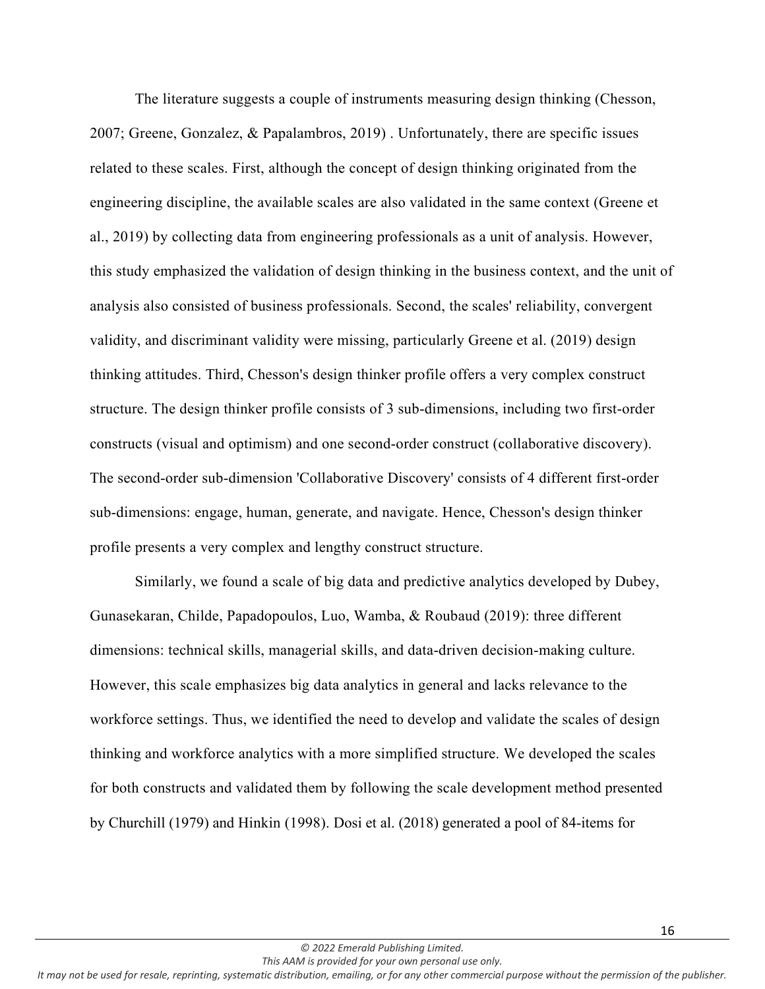The literature suggests a couple of instruments measuring design thinking (Chesson, 2007; Greene, Gonzalez, & Papalambros, 2019) . Unfortunately, there are specific issues related to these scales. First, although the concept of design thinking originated from the engineering discipline, the available scales are also validated in the same context (Greene et al., 2019) by collecting data from engineering professionals as a unit of analysis. However, this study emphasized the validation of design thinking in the business context, and the unit of analysis also consisted of business professionals. Second, the scales' reliability, convergent validity, and discriminant validity were missing, particularly Greene et al. (2019) design thinking attitudes. Third, Chesson's design thinker profile offers a very complex construct structure. The design thinker profile consists of 3 sub-dimensions, including two first-order constructs (visual and optimism) and one second-order construct (collaborative discovery). The second-order sub-dimension 'Collaborative Discovery' consists of 4 different first-order sub-dimensions: engage, human, generate, and navigate. Hence, Chesson's design thinker profile presents a very complex and lengthy construct structure.

Similarly, we found a scale of big data and predictive analytics developed by Dubey, Gunasekaran, Childe, Papadopoulos, Luo, Wamba, & Roubaud (2019): three different dimensions: technical skills, managerial skills, and data-driven decision-making culture. However, this scale emphasizes big data analytics in general and lacks relevance to the workforce settings. Thus, we identified the need to develop and validate the scales of design thinking and workforce analytics with a more simplified structure. We developed the scales for both constructs and validated them by following the scale development method presented by Churchill (1979) and Hinkin (1998). Dosi et al. (2018) generated a pool of 84-items for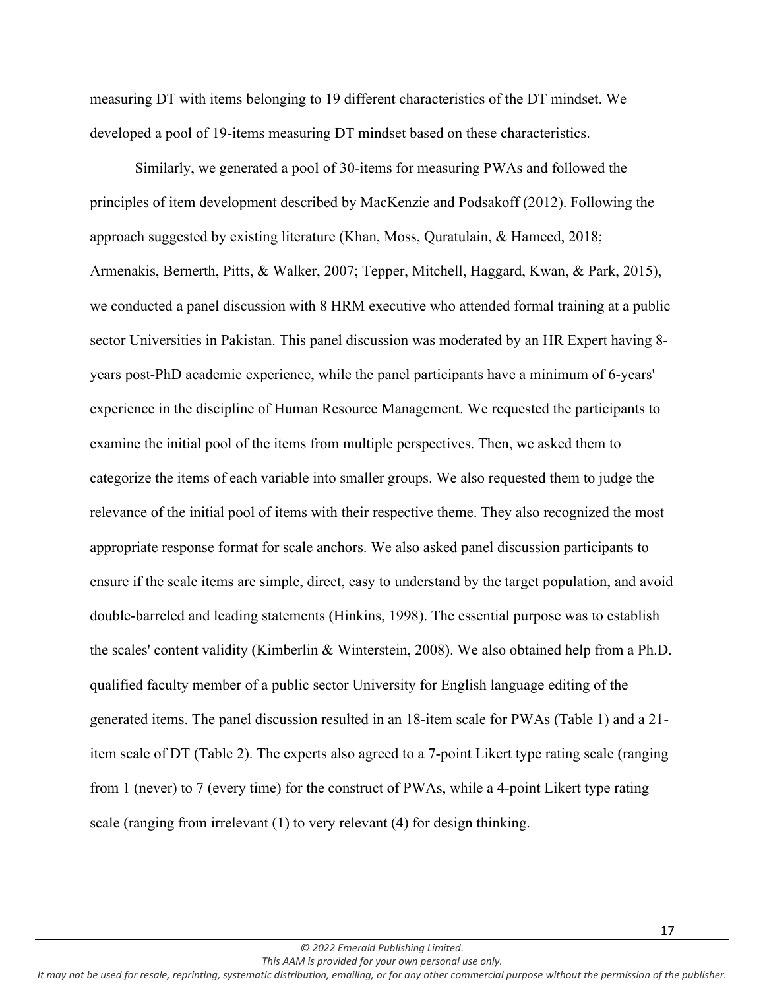measuring DT with items belonging to 19 different characteristics of the DT mindset. We developed a pool of 19-items measuring DT mindset based on these characteristics.

Similarly, we generated a pool of 30-items for measuring PWAs and followed the principles of item development described by MacKenzie and Podsakoff (2012). Following the approach suggested by existing literature (Khan, Moss, Quratulain, & Hameed, 2018; Armenakis, Bernerth, Pitts, & Walker, 2007; Tepper, Mitchell, Haggard, Kwan, & Park, 2015), we conducted a panel discussion with 8 HRM executive who attended formal training at a public sector Universities in Pakistan. This panel discussion was moderated by an HR Expert having 8 years post-PhD academic experience, while the panel participants have a minimum of 6-years' experience in the discipline of Human Resource Management. We requested the participants to examine the initial pool of the items from multiple perspectives. Then, we asked them to categorize the items of each variable into smaller groups. We also requested them to judge the relevance of the initial pool of items with their respective theme. They also recognized the most appropriate response format for scale anchors. We also asked panel discussion participants to ensure if the scale items are simple, direct, easy to understand by the target population, and avoid double-barreled and leading statements (Hinkins, 1998). The essential purpose was to establish the scales' content validity (Kimberlin & Winterstein, 2008). We also obtained help from a Ph.D. qualified faculty member of a public sector University for English language editing of the generated items. The panel discussion resulted in an 18-item scale for PWAs (Table 1) and a 21 item scale of DT (Table 2). The experts also agreed to a 7-point Likert type rating scale (ranging from 1 (never) to 7 (every time) for the construct of PWAs, while a 4-point Likert type rating scale (ranging from irrelevant (1) to very relevant (4) for design thinking.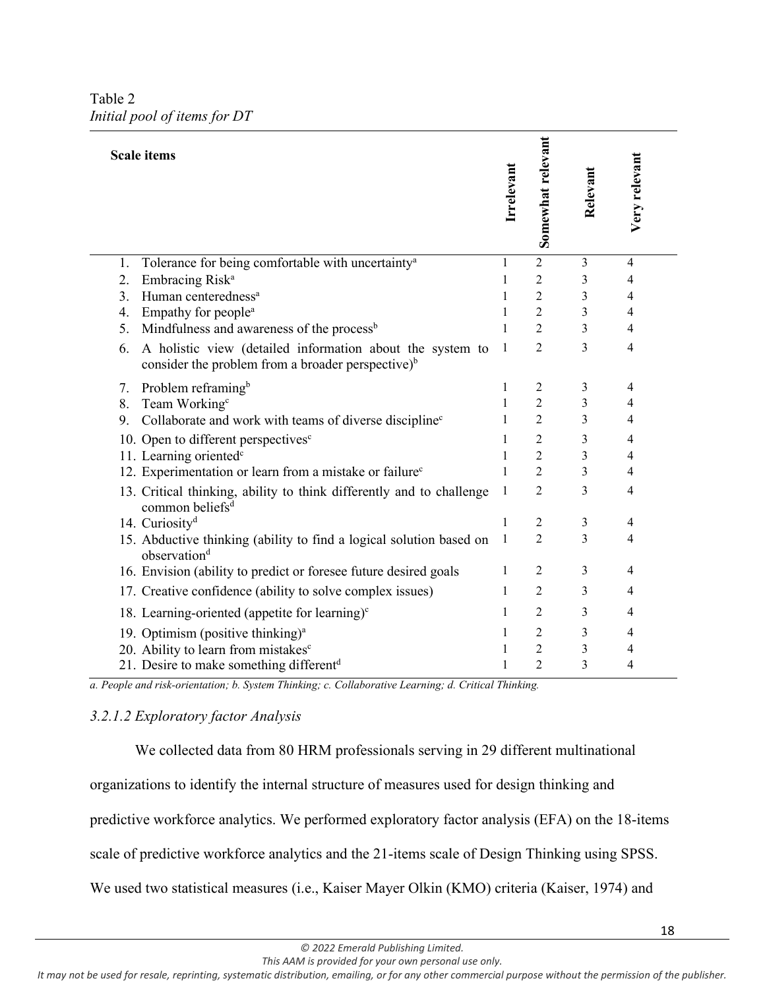Table 2 *Initial pool of items for DT*

| <b>Scale items</b>                                                                                                               | Irrelevant   | Somewhat relevant | Relevant                | Very relevant  |
|----------------------------------------------------------------------------------------------------------------------------------|--------------|-------------------|-------------------------|----------------|
| Tolerance for being comfortable with uncertainty <sup>a</sup><br>1.                                                              | $\mathbf{1}$ | $\overline{2}$    | $\overline{\mathbf{3}}$ | $\overline{4}$ |
| Embracing Risk <sup>a</sup><br>2.                                                                                                | 1            | $\overline{2}$    | 3                       | 4              |
| Human centeredness <sup>a</sup><br>3.                                                                                            | 1            | $\overline{2}$    | 3                       | 4              |
| Empathy for people <sup>a</sup><br>4.                                                                                            | 1            | $\overline{2}$    | 3                       | 4              |
| Mindfulness and awareness of the process <sup>b</sup><br>5.                                                                      | 1            | $\overline{2}$    | 3                       | 4              |
| A holistic view (detailed information about the system to<br>6.<br>consider the problem from a broader perspective) <sup>b</sup> | 1            | $\overline{2}$    | 3                       | $\overline{4}$ |
| Problem reframing <sup>b</sup><br>7.                                                                                             | 1            | $\overline{2}$    | 3                       | $\overline{4}$ |
| Team Working <sup>c</sup><br>8.                                                                                                  | 1            | $\overline{2}$    | 3                       | 4              |
| 9.<br>Collaborate and work with teams of diverse discipline <sup>c</sup>                                                         | 1            | $\overline{2}$    | 3                       | 4              |
| 10. Open to different perspectives <sup>c</sup>                                                                                  | 1            | $\overline{2}$    | 3                       | 4              |
| 11. Learning oriented <sup>c</sup>                                                                                               | 1            | $\overline{2}$    | 3                       | 4              |
| 12. Experimentation or learn from a mistake or failure <sup>c</sup>                                                              | 1            | $\overline{2}$    | 3                       | 4              |
| 13. Critical thinking, ability to think differently and to challenge<br>common beliefs <sup>d</sup>                              | 1            | 2                 | 3                       | 4              |
| 14. Curiosity <sup>d</sup>                                                                                                       | 1            | $\overline{2}$    | 3                       | $\overline{4}$ |
| 15. Abductive thinking (ability to find a logical solution based on<br>observation <sup>d</sup>                                  | 1            | $\overline{2}$    | 3                       | 4              |
| 16. Envision (ability to predict or foresee future desired goals                                                                 | 1            | $\overline{2}$    | 3                       | $\overline{4}$ |
| 17. Creative confidence (ability to solve complex issues)                                                                        | 1            | $\overline{2}$    | 3                       | 4              |
| 18. Learning-oriented (appetite for learning) $\text{c}$                                                                         | 1            | $\overline{2}$    | 3                       | $\overline{4}$ |
| 19. Optimism (positive thinking) <sup>a</sup>                                                                                    | 1            | $\overline{2}$    | 3                       | 4              |
| 20. Ability to learn from mistakes <sup>c</sup>                                                                                  | 1            | $\overline{c}$    | 3                       | 4              |
| 21. Desire to make something different <sup>d</sup>                                                                              | 1            | $\overline{2}$    | 3                       | 4              |

*a. People and risk-orientation; b. System Thinking; c. Collaborative Learning; d. Critical Thinking.*

## *3.2.1.2 Exploratory factor Analysis*

We collected data from 80 HRM professionals serving in 29 different multinational organizations to identify the internal structure of measures used for design thinking and predictive workforce analytics. We performed exploratory factor analysis (EFA) on the 18-items scale of predictive workforce analytics and the 21-items scale of Design Thinking using SPSS. We used two statistical measures (i.e., Kaiser Mayer Olkin (KMO) criteria (Kaiser, 1974) and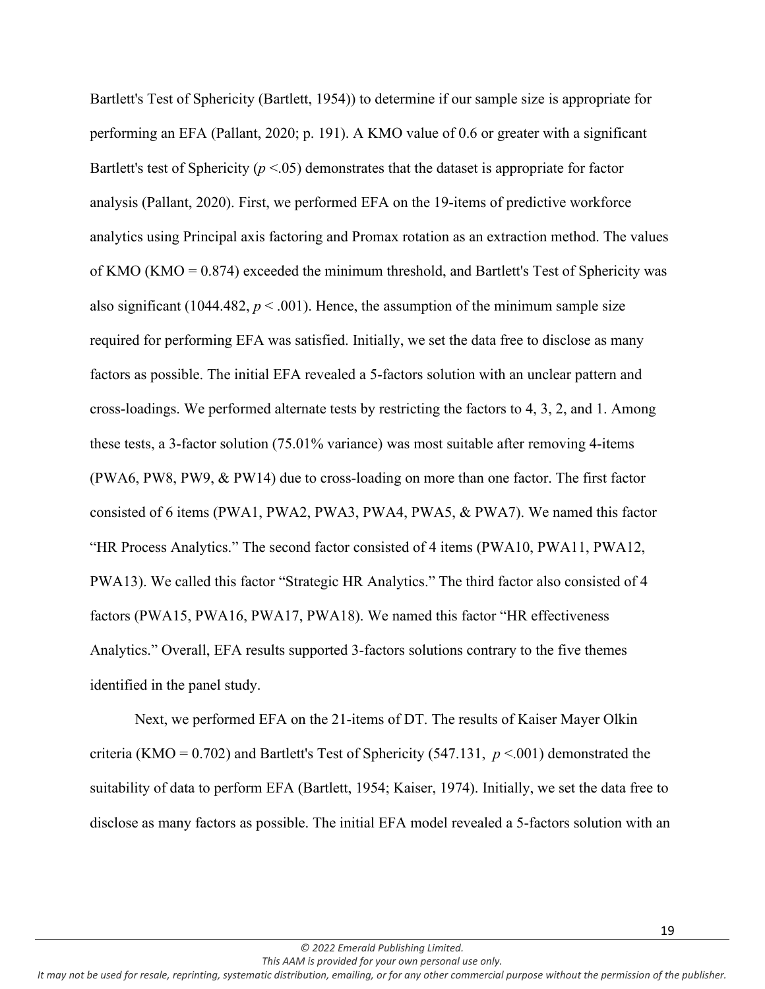Bartlett's Test of Sphericity (Bartlett, 1954)) to determine if our sample size is appropriate for performing an EFA (Pallant, 2020; p. 191). A KMO value of 0.6 or greater with a significant Bartlett's test of Sphericity ( $p < 0.05$ ) demonstrates that the dataset is appropriate for factor analysis (Pallant, 2020). First, we performed EFA on the 19-items of predictive workforce analytics using Principal axis factoring and Promax rotation as an extraction method. The values of KMO (KMO =  $0.874$ ) exceeded the minimum threshold, and Bartlett's Test of Sphericity was also significant (1044.482,  $p < .001$ ). Hence, the assumption of the minimum sample size required for performing EFA was satisfied. Initially, we set the data free to disclose as many factors as possible. The initial EFA revealed a 5-factors solution with an unclear pattern and cross-loadings. We performed alternate tests by restricting the factors to 4, 3, 2, and 1. Among these tests, a 3-factor solution (75.01% variance) was most suitable after removing 4-items (PWA6, PW8, PW9, & PW14) due to cross-loading on more than one factor. The first factor consisted of 6 items (PWA1, PWA2, PWA3, PWA4, PWA5, & PWA7). We named this factor "HR Process Analytics." The second factor consisted of 4 items (PWA10, PWA11, PWA12, PWA13). We called this factor "Strategic HR Analytics." The third factor also consisted of 4 factors (PWA15, PWA16, PWA17, PWA18). We named this factor "HR effectiveness Analytics." Overall, EFA results supported 3-factors solutions contrary to the five themes identified in the panel study.

Next, we performed EFA on the 21-items of DT. The results of Kaiser Mayer Olkin criteria (KMO = 0.702) and Bartlett's Test of Sphericity (547.131, *p* <.001) demonstrated the suitability of data to perform EFA (Bartlett, 1954; Kaiser, 1974). Initially, we set the data free to disclose as many factors as possible. The initial EFA model revealed a 5-factors solution with an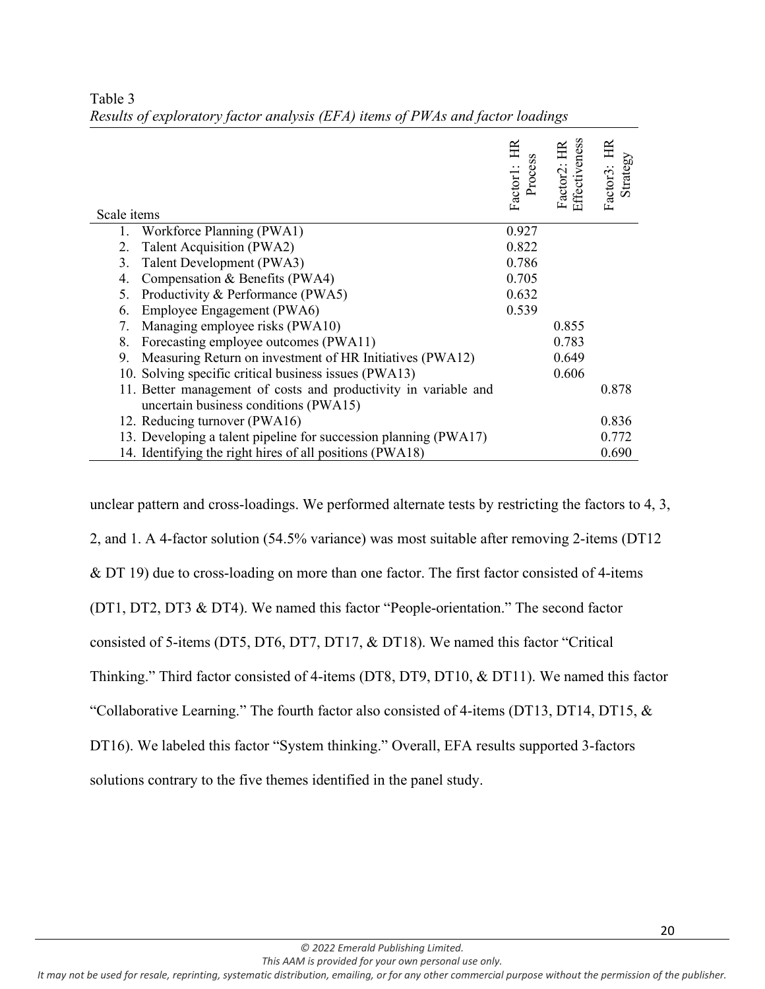| Scale items                                                      | 臣<br>s<br>Factor1: 1<br>Process | Factor2: HR<br>Effectiveness | Strategy<br>Factor3: |
|------------------------------------------------------------------|---------------------------------|------------------------------|----------------------|
| Workforce Planning (PWA1)<br>1.                                  | 0.927                           |                              |                      |
| Talent Acquisition (PWA2)<br>2.                                  | 0.822                           |                              |                      |
| Talent Development (PWA3)<br>3.                                  | 0.786                           |                              |                      |
| Compensation & Benefits (PWA4)<br>4.                             | 0.705                           |                              |                      |
| Productivity & Performance (PWA5)<br>5.                          | 0.632                           |                              |                      |
| Employee Engagement (PWA6)<br>6.                                 | 0.539                           |                              |                      |
| Managing employee risks (PWA10)<br>7.                            |                                 | 0.855                        |                      |
| Forecasting employee outcomes (PWA11)<br>8.                      |                                 | 0.783                        |                      |
| Measuring Return on investment of HR Initiatives (PWA12)<br>9.   |                                 | 0.649                        |                      |
| 10. Solving specific critical business issues (PWA13)            |                                 | 0.606                        |                      |
| 11. Better management of costs and productivity in variable and  |                                 |                              | 0.878                |
| uncertain business conditions (PWA15)                            |                                 |                              |                      |
| 12. Reducing turnover (PWA16)                                    |                                 |                              | 0.836                |
| 13. Developing a talent pipeline for succession planning (PWA17) |                                 |                              | 0.772                |
| 14. Identifying the right hires of all positions (PWA18)         |                                 |                              | 0.690                |

Table 3 *Results of exploratory factor analysis (EFA) items of PWAs and factor loadings*

unclear pattern and cross-loadings. We performed alternate tests by restricting the factors to 4, 3, 2, and 1. A 4-factor solution (54.5% variance) was most suitable after removing 2-items (DT12 & DT 19) due to cross-loading on more than one factor. The first factor consisted of 4-items (DT1, DT2, DT3 & DT4). We named this factor "People-orientation." The second factor consisted of 5-items (DT5, DT6, DT7, DT17, & DT18). We named this factor "Critical Thinking." Third factor consisted of 4-items (DT8, DT9, DT10, & DT11). We named this factor "Collaborative Learning." The fourth factor also consisted of 4-items (DT13, DT14, DT15, & DT16). We labeled this factor "System thinking." Overall, EFA results supported 3-factors solutions contrary to the five themes identified in the panel study.

*This AAM is provided for your own personal use only. It may not be used for resale, reprinting, systematic distribution, emailing, or for any other commercial purpose without the permission of the publisher.*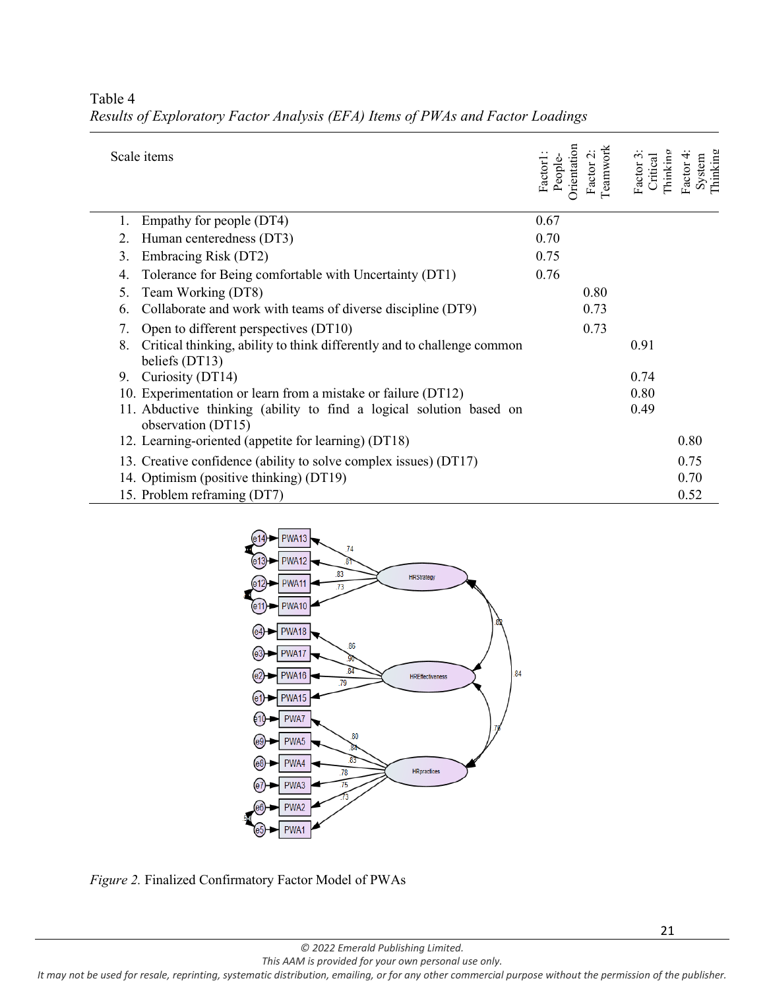| Scale items                                                                                     | Orientation<br>Factor1:<br>People- | Teamwork<br>Factor 2: | Thinking<br>3<br>Critical<br>Factor: | Thinking<br>Factor 4<br>System |
|-------------------------------------------------------------------------------------------------|------------------------------------|-----------------------|--------------------------------------|--------------------------------|
| Empathy for people (DT4)                                                                        | 0.67                               |                       |                                      |                                |
| Human centeredness (DT3)                                                                        | 0.70                               |                       |                                      |                                |
| Embracing Risk (DT2)<br>3.                                                                      | 0.75                               |                       |                                      |                                |
| Tolerance for Being comfortable with Uncertainty (DT1)<br>4.                                    | 0.76                               |                       |                                      |                                |
| Team Working (DT8)<br>5.                                                                        |                                    | 0.80                  |                                      |                                |
| Collaborate and work with teams of diverse discipline (DT9)<br>6.                               |                                    | 0.73                  |                                      |                                |
| Open to different perspectives (DT10)<br>7.                                                     |                                    | 0.73                  |                                      |                                |
| Critical thinking, ability to think differently and to challenge common<br>8.<br>beliefs (DT13) |                                    |                       | 0.91                                 |                                |
| Curiosity (DT14)<br>9.                                                                          |                                    |                       | 0.74                                 |                                |
| 10. Experimentation or learn from a mistake or failure (DT12)                                   |                                    |                       | 0.80                                 |                                |
| 11. Abductive thinking (ability to find a logical solution based on<br>observation (DT15)       |                                    |                       | 0.49                                 |                                |
| 12. Learning-oriented (appetite for learning) (DT18)                                            |                                    |                       |                                      | 0.80                           |
| 13. Creative confidence (ability to solve complex issues) (DT17)                                |                                    |                       |                                      | 0.75                           |
| 14. Optimism (positive thinking) (DT19)                                                         |                                    |                       |                                      | 0.70                           |
| 15. Problem reframing (DT7)                                                                     |                                    |                       |                                      | 0.52                           |

# Table 4 *Results of Exploratory Factor Analysis (EFA) Items of PWAs and Factor Loadings*



*Figure 2.* Finalized Confirmatory Factor Model of PWAs

*© 2022 Emerald Publishing Limited. This AAM is provided for your own personal use only.*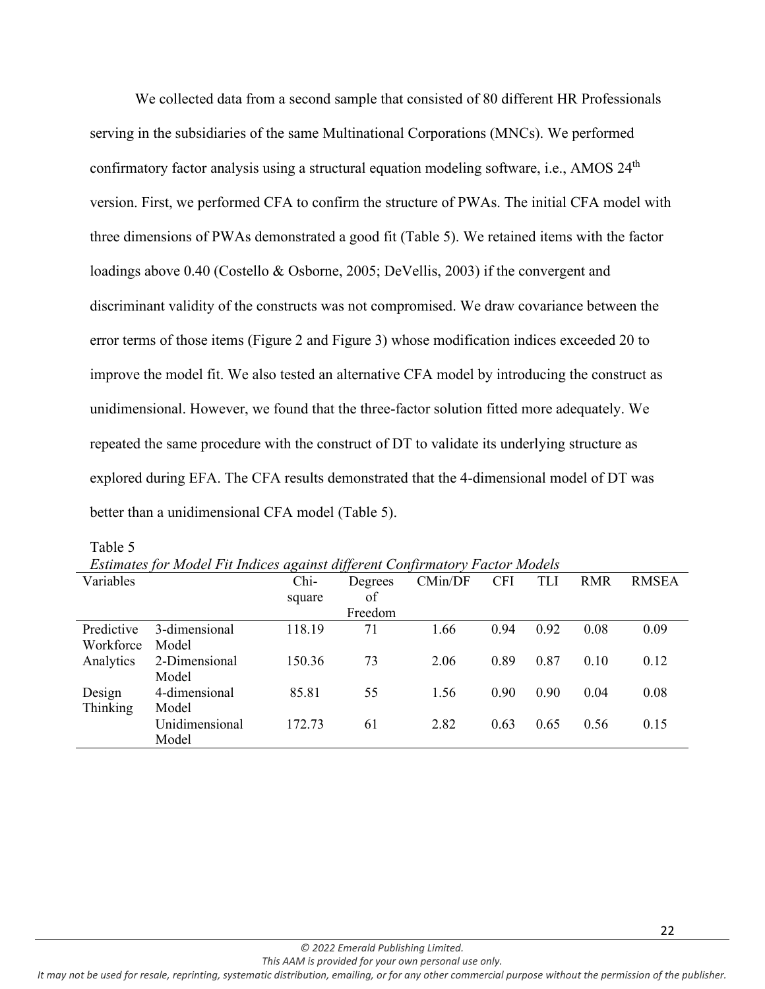We collected data from a second sample that consisted of 80 different HR Professionals serving in the subsidiaries of the same Multinational Corporations (MNCs). We performed confirmatory factor analysis using a structural equation modeling software, i.e., AMOS 24<sup>th</sup> version. First, we performed CFA to confirm the structure of PWAs. The initial CFA model with three dimensions of PWAs demonstrated a good fit (Table 5). We retained items with the factor loadings above 0.40 (Costello & Osborne, 2005; DeVellis, 2003) if the convergent and discriminant validity of the constructs was not compromised. We draw covariance between the error terms of those items (Figure 2 and Figure 3) whose modification indices exceeded 20 to improve the model fit. We also tested an alternative CFA model by introducing the construct as unidimensional. However, we found that the three-factor solution fitted more adequately. We repeated the same procedure with the construct of DT to validate its underlying structure as explored during EFA. The CFA results demonstrated that the 4-dimensional model of DT was better than a unidimensional CFA model (Table 5).

|            | Esumates for Model Fu malces against allerent Confirmatory Factor Models |        |         |         |            |            |            |              |
|------------|--------------------------------------------------------------------------|--------|---------|---------|------------|------------|------------|--------------|
| Variables  |                                                                          | Chi-   | Degrees | CMin/DF | <b>CFI</b> | <b>TLI</b> | <b>RMR</b> | <b>RMSEA</b> |
|            |                                                                          | square | of      |         |            |            |            |              |
|            |                                                                          |        | Freedom |         |            |            |            |              |
| Predictive | 3-dimensional                                                            | 118.19 | 71      | 1.66    | 0.94       | 0.92       | 0.08       | 0.09         |
| Workforce  | Model                                                                    |        |         |         |            |            |            |              |
| Analytics  | 2-Dimensional                                                            | 150.36 | 73      | 2.06    | 0.89       | 0.87       | 0.10       | 0.12         |
|            | Model                                                                    |        |         |         |            |            |            |              |
| Design     | 4-dimensional                                                            | 85.81  | 55      | 1.56    | 0.90       | 0.90       | 0.04       | 0.08         |
| Thinking   | Model                                                                    |        |         |         |            |            |            |              |
|            | Unidimensional                                                           | 172.73 | 61      | 2.82    | 0.63       | 0.65       | 0.56       | 0.15         |
|            | Model                                                                    |        |         |         |            |            |            |              |

Table 5

*Estimates for Model Fit Indices against different Confirmatory Factor Models*

22

*This AAM is provided for your own personal use only. It may not be used for resale, reprinting, systematic distribution, emailing, or for any other commercial purpose without the permission of the publisher.*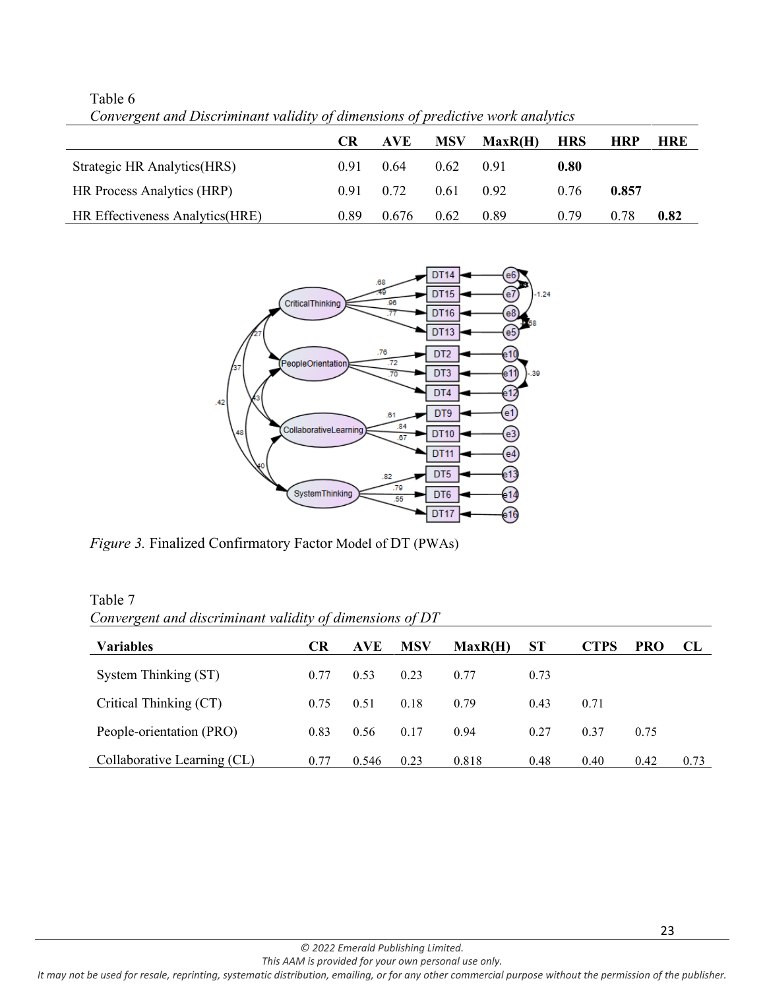|                                 | CR.  | AVE.  | <b>MSV</b> | MaxR(H) | <b>HRS</b> | HRP   | HRE  |
|---------------------------------|------|-------|------------|---------|------------|-------|------|
| Strategic HR Analytics (HRS)    | 0.91 | 0.64  | 0.62       | 0.91    | 0.80       |       |      |
| HR Process Analytics (HRP)      | 0.91 | 0.72  | 0.61       | 0.92    | 0.76       | 0.857 |      |
| HR Effectiveness Analytics(HRE) | 0.89 | 0.676 | 0.62       | 0.89    | 0.79       | 0.78  | 0.82 |

Table 6 *Convergent and Discriminant validity of dimensions of predictive work analytics*



*Figure 3.* Finalized Confirmatory Factor Model of DT (PWAs)

| Table 7                                                  |  |
|----------------------------------------------------------|--|
| Convergent and discriminant validity of dimensions of DT |  |

| <b>Variables</b>            | <b>CR</b> | <b>AVE</b> | <b>MSV</b> | MaxR(H) | <b>ST</b> | <b>CTPS</b> | <b>PRO</b> | CL   |
|-----------------------------|-----------|------------|------------|---------|-----------|-------------|------------|------|
| System Thinking (ST)        | 0.77      | 0.53       | 0.23       | 0.77    | 0.73      |             |            |      |
| Critical Thinking (CT)      | 0.75      | 0.51       | 0.18       | 0.79    | 0.43      | 0.71        |            |      |
| People-orientation (PRO)    | 0.83      | 0.56       | 0.17       | 0.94    | 0.27      | 0.37        | 0.75       |      |
| Collaborative Learning (CL) | 0.77      | 0.546      | 0.23       | 0.818   | 0.48      | 0.40        | 0.42       | 0.73 |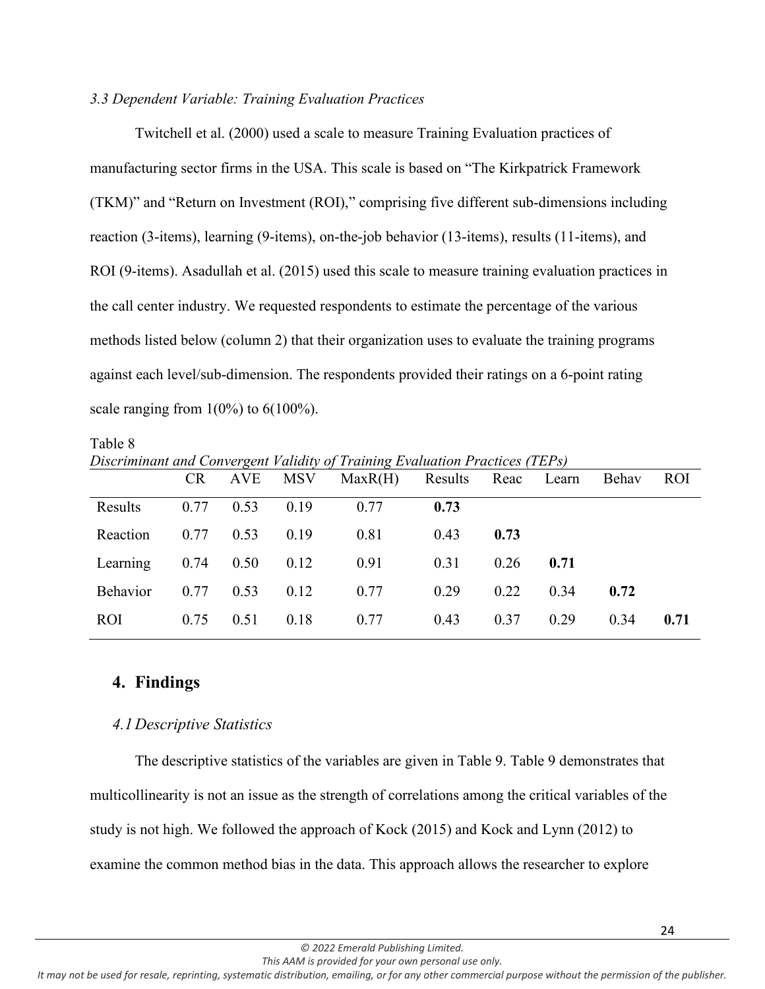### *3.3 Dependent Variable: Training Evaluation Practices*

Twitchell et al. (2000) used a scale to measure Training Evaluation practices of manufacturing sector firms in the USA. This scale is based on "The Kirkpatrick Framework (TKM)" and "Return on Investment (ROI)," comprising five different sub-dimensions including reaction (3-items), learning (9-items), on-the-job behavior (13-items), results (11-items), and ROI (9-items). Asadullah et al. (2015) used this scale to measure training evaluation practices in the call center industry. We requested respondents to estimate the percentage of the various methods listed below (column 2) that their organization uses to evaluate the training programs against each level/sub-dimension. The respondents provided their ratings on a 6-point rating scale ranging from  $1(0\%)$  to  $6(100\%).$ 

Table 8 *Discriminant and Convergent Validity of Training Evaluation Practices (TEPs)* CR AVE MSV MaxR(H) Results Reac Learn Behav ROI

| Results  | 0.77 | 0.53 | 0.19 | 0.77 | 0.73 |      |      |      |      |
|----------|------|------|------|------|------|------|------|------|------|
| Reaction | 0.77 | 0.53 | 0.19 | 0.81 | 0.43 | 0.73 |      |      |      |
| Learning | 0.74 | 0.50 | 0.12 | 0.91 | 0.31 | 0.26 | 0.71 |      |      |
| Behavior | 0.77 | 0.53 | 0.12 | 0.77 | 0.29 | 0.22 | 0.34 | 0.72 |      |
| ROI      | 0.75 | 0.51 | 0.18 | 0.77 | 0.43 | 0.37 | 0.29 | 0.34 | 0.71 |
|          |      |      |      |      |      |      |      |      |      |

# **4. Findings**

## *4.1Descriptive Statistics*

The descriptive statistics of the variables are given in Table 9. Table 9 demonstrates that multicollinearity is not an issue as the strength of correlations among the critical variables of the study is not high. We followed the approach of Kock (2015) and Kock and Lynn (2012) to examine the common method bias in the data. This approach allows the researcher to explore

*This AAM is provided for your own personal use only.*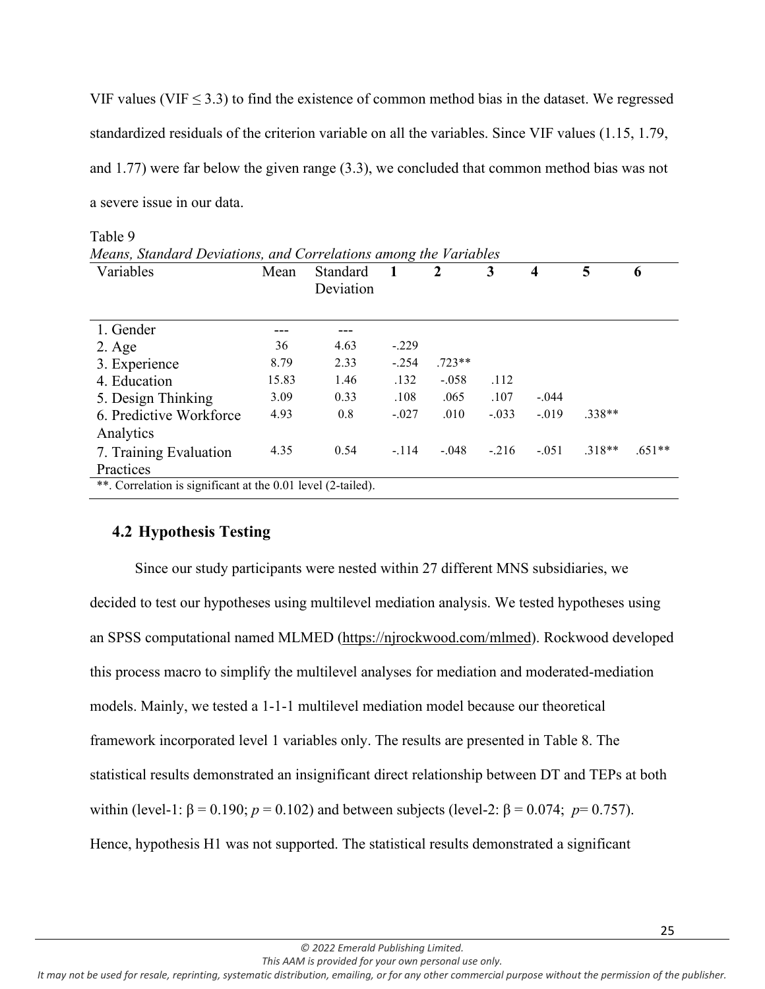VIF values (VIF  $\leq$  3.3) to find the existence of common method bias in the dataset. We regressed standardized residuals of the criterion variable on all the variables. Since VIF values (1.15, 1.79, and 1.77) were far below the given range (3.3), we concluded that common method bias was not a severe issue in our data.

| Variables                                                    | Mean  | Standard<br>Deviation |         | 2        | 3       | $\overline{\mathbf{4}}$ | 5        | 6        |
|--------------------------------------------------------------|-------|-----------------------|---------|----------|---------|-------------------------|----------|----------|
| 1. Gender                                                    |       |                       |         |          |         |                         |          |          |
| $2. \text{Age}$                                              | 36    | 4.63                  | $-.229$ |          |         |                         |          |          |
| 3. Experience                                                | 8.79  | 2.33                  | $-.254$ | $.723**$ |         |                         |          |          |
| 4. Education                                                 | 15.83 | 1.46                  | .132    | $-.058$  | .112    |                         |          |          |
| 5. Design Thinking                                           | 3.09  | 0.33                  | .108    | .065     | .107    | $-.044$                 |          |          |
| 6. Predictive Workforce                                      | 4.93  | 0.8                   | $-.027$ | .010     | $-.033$ | $-.019$                 | $.338**$ |          |
| Analytics                                                    |       |                       |         |          |         |                         |          |          |
| 7. Training Evaluation                                       | 4.35  | 0.54                  | $-.114$ | $-.048$  | $-.216$ | $-.051$                 | $.318**$ | $.651**$ |
| Practices                                                    |       |                       |         |          |         |                         |          |          |
| **. Correlation is significant at the 0.01 level (2-tailed). |       |                       |         |          |         |                         |          |          |

# Table 9

## **4.2 Hypothesis Testing**

Since our study participants were nested within 27 different MNS subsidiaries, we decided to test our hypotheses using multilevel mediation analysis. We tested hypotheses using an SPSS computational named MLMED [\(https://njrockwood.com/mlmed\)](https://njrockwood.com/mlmed). Rockwood developed this process macro to simplify the multilevel analyses for mediation and moderated-mediation models. Mainly, we tested a 1-1-1 multilevel mediation model because our theoretical framework incorporated level 1 variables only. The results are presented in Table 8. The statistical results demonstrated an insignificant direct relationship between DT and TEPs at both within (level-1: β = 0.190; *p* = 0.102) and between subjects (level-2: β = 0.074; *p*= 0.757). Hence, hypothesis H1 was not supported. The statistical results demonstrated a significant

*This AAM is provided for your own personal use only. It may not be used for resale, reprinting, systematic distribution, emailing, or for any other commercial purpose without the permission of the publisher.*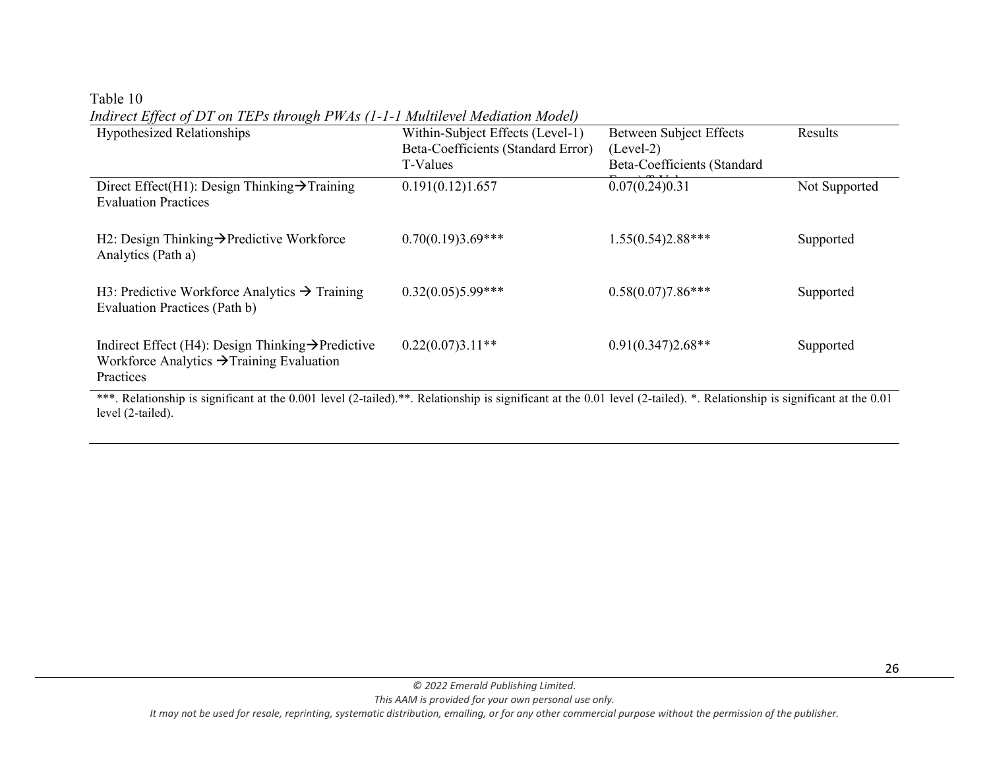#### Table 10

Hypothesized Relationships Within-Subject Effects (Level-1) Beta-Coefficients (Standard Error) T-Values Between Subject Effects (Level-2) Beta-Coefficients (Standard  $0.07(0.24)0.31$ Results Direct Effect(H1): Design Thinking $\rightarrow$ Training Evaluation Practices 0.191(0.12)1.657 0.07(0.24)0.31 Not Supported H2: Design Thinking > Predictive Workforce Analytics (Path a) 0.70(0.19)3.69\*\*\* 1.55(0.54)2.88\*\*\* Supported H3: Predictive Workforce Analytics  $\rightarrow$  Training Evaluation Practices (Path b) 0.32(0.05)5.99\*\*\* 0.58(0.07)7.86\*\*\* Supported Indirect Effect (H4): Design Thinking $\rightarrow$ Predictive Workforce Analytics  $\rightarrow$  Training Evaluation Practices 0.22(0.07)3.11<sup>\*\*</sup> 0.91(0.347)2.68<sup>\*\*</sup> Supported

*Indirect Effect of DT on TEPs through PWAs (1-1-1 Multilevel Mediation Model)*

\*\*\*. Relationship is significant at the 0.001 level (2-tailed).\*\*. Relationship is significant at the 0.01 level (2-tailed). \*. Relationship is significant at the 0.01 level (2-tailed).

*This AAM is provided for your own personal use only.*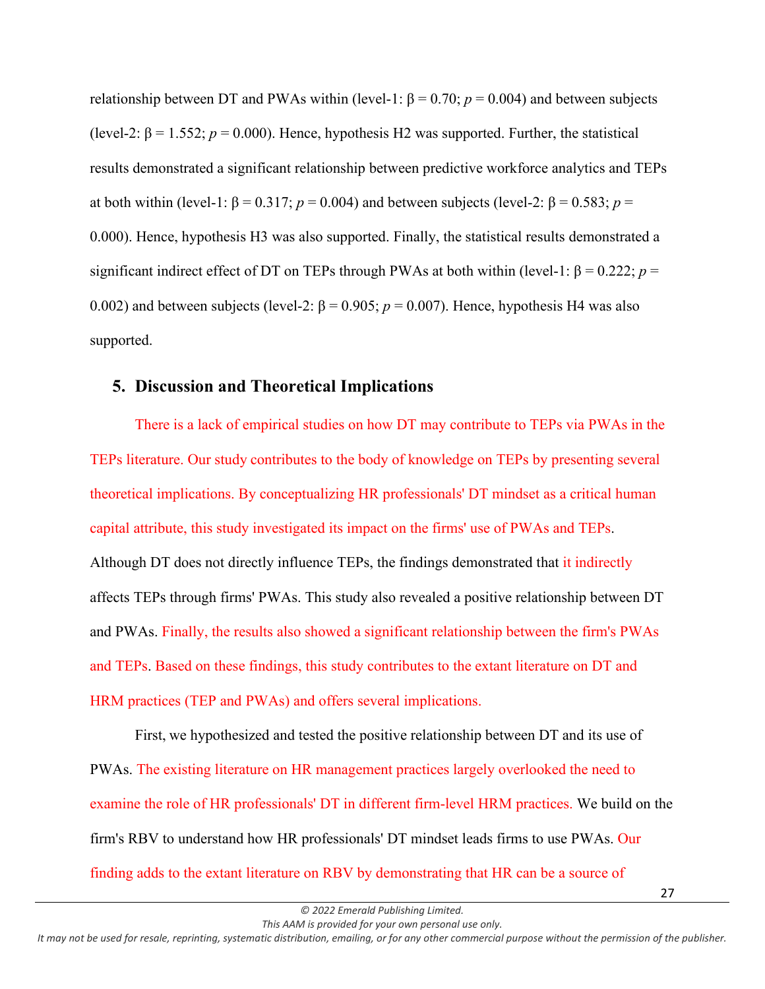relationship between DT and PWAs within (level-1:  $\beta = 0.70$ ;  $p = 0.004$ ) and between subjects (level-2:  $\beta$  = 1.552;  $p$  = 0.000). Hence, hypothesis H2 was supported. Further, the statistical results demonstrated a significant relationship between predictive workforce analytics and TEPs at both within (level-1: β = 0.317;  $p = 0.004$ ) and between subjects (level-2: β = 0.583;  $p =$ 0.000). Hence, hypothesis H3 was also supported. Finally, the statistical results demonstrated a significant indirect effect of DT on TEPs through PWAs at both within (level-1:  $\beta = 0.222$ ;  $p =$ 0.002) and between subjects (level-2:  $\beta$  = 0.905;  $p$  = 0.007). Hence, hypothesis H4 was also supported.

## **5. Discussion and Theoretical Implications**

There is a lack of empirical studies on how DT may contribute to TEPs via PWAs in the TEPs literature. Our study contributes to the body of knowledge on TEPs by presenting several theoretical implications. By conceptualizing HR professionals' DT mindset as a critical human capital attribute, this study investigated its impact on the firms' use of PWAs and TEPs. Although DT does not directly influence TEPs, the findings demonstrated that it indirectly affects TEPs through firms' PWAs. This study also revealed a positive relationship between DT and PWAs. Finally, the results also showed a significant relationship between the firm's PWAs and TEPs. Based on these findings, this study contributes to the extant literature on DT and HRM practices (TEP and PWAs) and offers several implications.

First, we hypothesized and tested the positive relationship between DT and its use of PWAs. The existing literature on HR management practices largely overlooked the need to examine the role of HR professionals' DT in different firm-level HRM practices. We build on the firm's RBV to understand how HR professionals' DT mindset leads firms to use PWAs. Our finding adds to the extant literature on RBV by demonstrating that HR can be a source of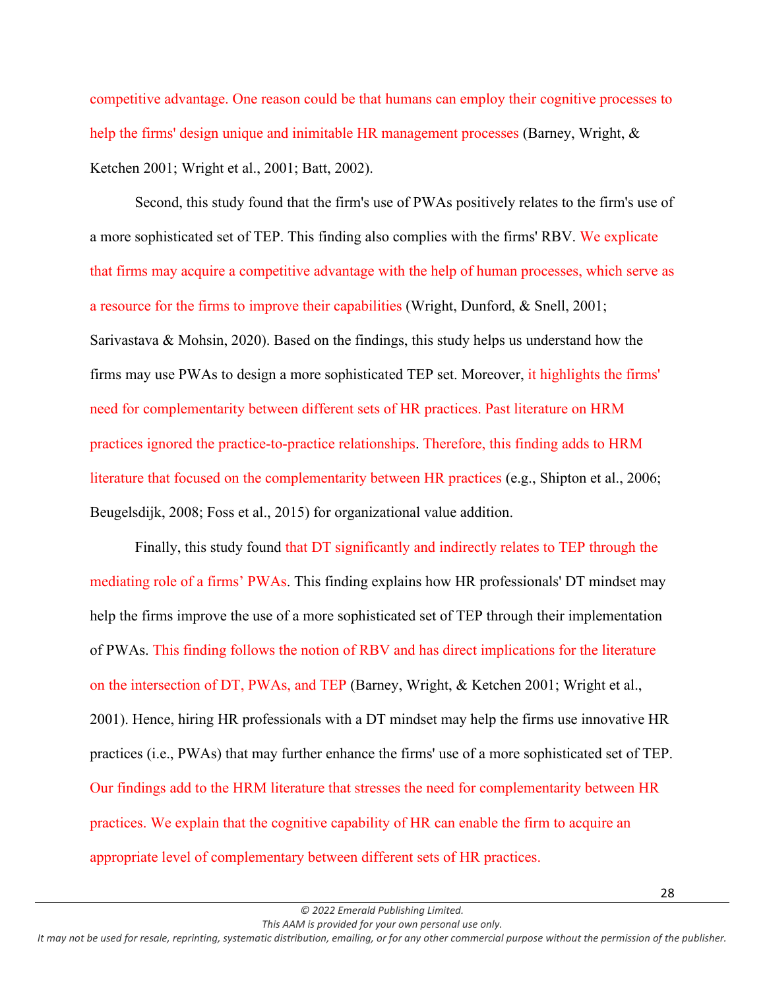competitive advantage. One reason could be that humans can employ their cognitive processes to help the firms' design unique and inimitable HR management processes (Barney, Wright, & Ketchen 2001; Wright et al., 2001; Batt, 2002).

Second, this study found that the firm's use of PWAs positively relates to the firm's use of a more sophisticated set of TEP. This finding also complies with the firms' RBV. We explicate that firms may acquire a competitive advantage with the help of human processes, which serve as a resource for the firms to improve their capabilities (Wright, Dunford, & Snell, 2001; Sarivastava & Mohsin, 2020). Based on the findings, this study helps us understand how the firms may use PWAs to design a more sophisticated TEP set. Moreover, it highlights the firms' need for complementarity between different sets of HR practices. Past literature on HRM practices ignored the practice-to-practice relationships. Therefore, this finding adds to HRM literature that focused on the complementarity between HR practices (e.g., Shipton et al., 2006; Beugelsdijk, 2008; Foss et al., 2015) for organizational value addition.

Finally, this study found that DT significantly and indirectly relates to TEP through the mediating role of a firms' PWAs. This finding explains how HR professionals' DT mindset may help the firms improve the use of a more sophisticated set of TEP through their implementation of PWAs. This finding follows the notion of RBV and has direct implications for the literature on the intersection of DT, PWAs, and TEP (Barney, Wright, & Ketchen 2001; Wright et al., 2001). Hence, hiring HR professionals with a DT mindset may help the firms use innovative HR practices (i.e., PWAs) that may further enhance the firms' use of a more sophisticated set of TEP. Our findings add to the HRM literature that stresses the need for complementarity between HR practices. We explain that the cognitive capability of HR can enable the firm to acquire an appropriate level of complementary between different sets of HR practices.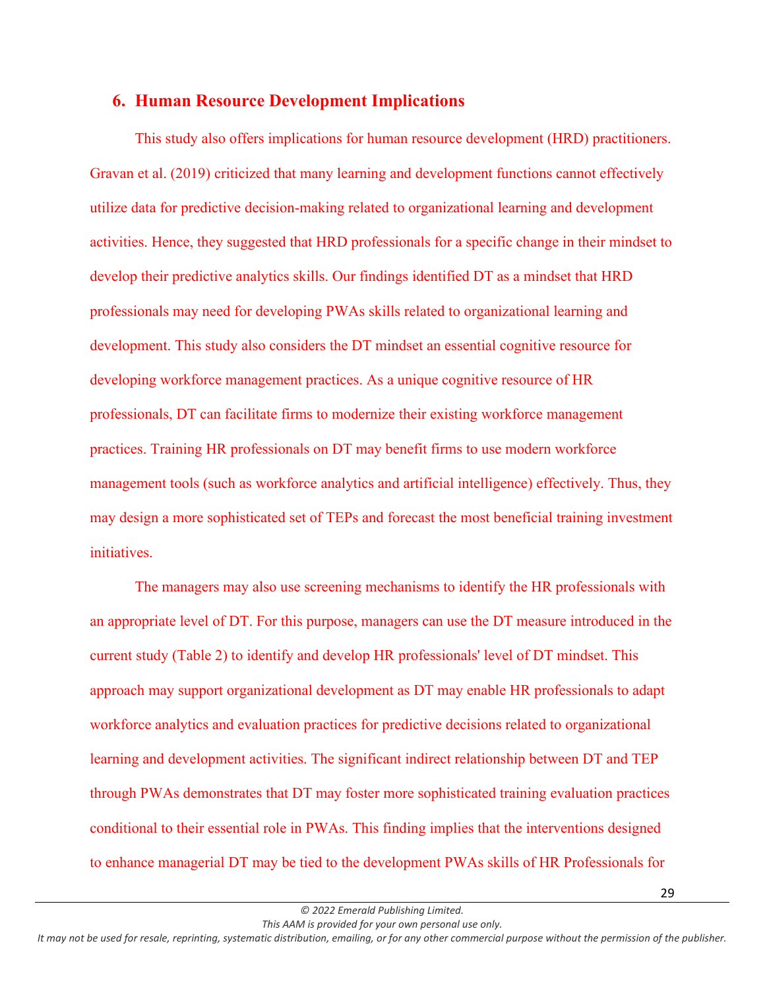## **6. Human Resource Development Implications**

This study also offers implications for human resource development (HRD) practitioners. Gravan et al. (2019) criticized that many learning and development functions cannot effectively utilize data for predictive decision-making related to organizational learning and development activities. Hence, they suggested that HRD professionals for a specific change in their mindset to develop their predictive analytics skills. Our findings identified DT as a mindset that HRD professionals may need for developing PWAs skills related to organizational learning and development. This study also considers the DT mindset an essential cognitive resource for developing workforce management practices. As a unique cognitive resource of HR professionals, DT can facilitate firms to modernize their existing workforce management practices. Training HR professionals on DT may benefit firms to use modern workforce management tools (such as workforce analytics and artificial intelligence) effectively. Thus, they may design a more sophisticated set of TEPs and forecast the most beneficial training investment initiatives.

The managers may also use screening mechanisms to identify the HR professionals with an appropriate level of DT. For this purpose, managers can use the DT measure introduced in the current study (Table 2) to identify and develop HR professionals' level of DT mindset. This approach may support organizational development as DT may enable HR professionals to adapt workforce analytics and evaluation practices for predictive decisions related to organizational learning and development activities. The significant indirect relationship between DT and TEP through PWAs demonstrates that DT may foster more sophisticated training evaluation practices conditional to their essential role in PWAs. This finding implies that the interventions designed to enhance managerial DT may be tied to the development PWAs skills of HR Professionals for

*© 2022 Emerald Publishing Limited. This AAM is provided for your own personal use only.*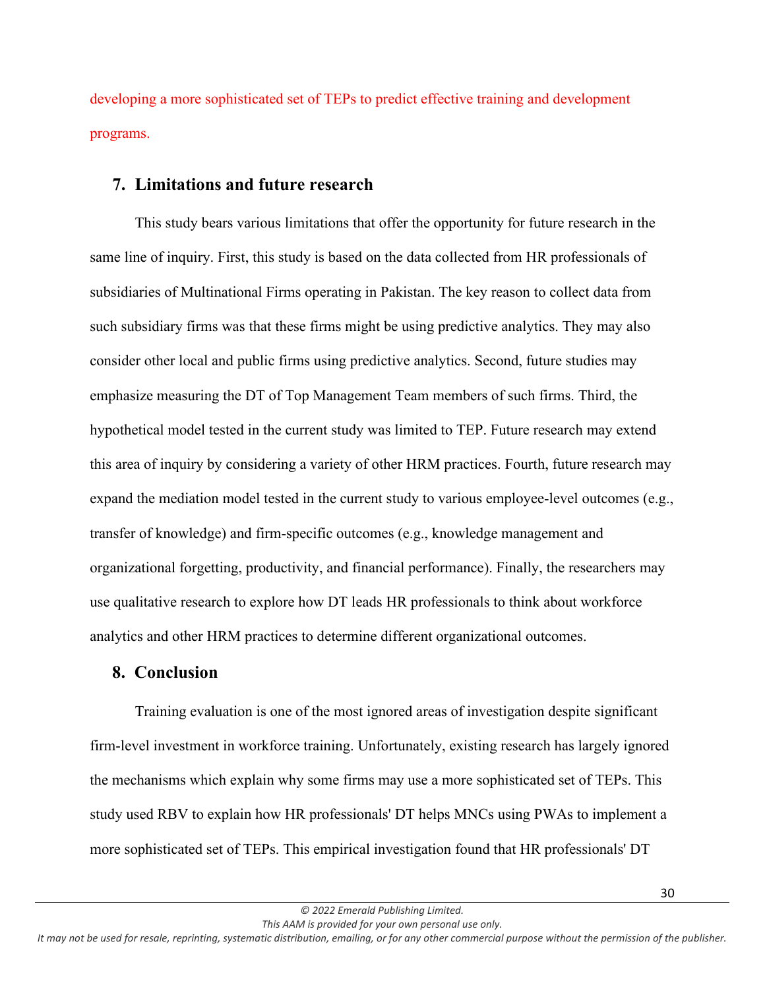developing a more sophisticated set of TEPs to predict effective training and development programs.

## **7. Limitations and future research**

This study bears various limitations that offer the opportunity for future research in the same line of inquiry. First, this study is based on the data collected from HR professionals of subsidiaries of Multinational Firms operating in Pakistan. The key reason to collect data from such subsidiary firms was that these firms might be using predictive analytics. They may also consider other local and public firms using predictive analytics. Second, future studies may emphasize measuring the DT of Top Management Team members of such firms. Third, the hypothetical model tested in the current study was limited to TEP. Future research may extend this area of inquiry by considering a variety of other HRM practices. Fourth, future research may expand the mediation model tested in the current study to various employee-level outcomes (e.g., transfer of knowledge) and firm-specific outcomes (e.g., knowledge management and organizational forgetting, productivity, and financial performance). Finally, the researchers may use qualitative research to explore how DT leads HR professionals to think about workforce analytics and other HRM practices to determine different organizational outcomes.

### **8. Conclusion**

Training evaluation is one of the most ignored areas of investigation despite significant firm-level investment in workforce training. Unfortunately, existing research has largely ignored the mechanisms which explain why some firms may use a more sophisticated set of TEPs. This study used RBV to explain how HR professionals' DT helps MNCs using PWAs to implement a more sophisticated set of TEPs. This empirical investigation found that HR professionals' DT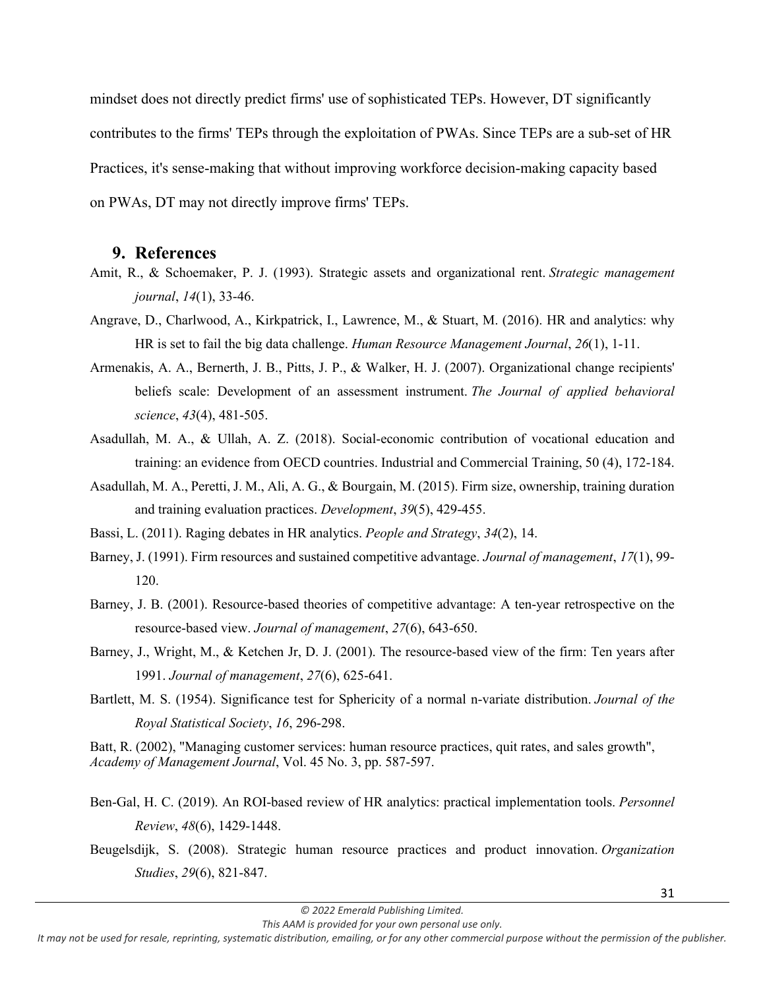mindset does not directly predict firms' use of sophisticated TEPs. However, DT significantly contributes to the firms' TEPs through the exploitation of PWAs. Since TEPs are a sub-set of HR Practices, it's sense-making that without improving workforce decision-making capacity based on PWAs, DT may not directly improve firms' TEPs.

#### **9. References**

- Amit, R., & Schoemaker, P. J. (1993). Strategic assets and organizational rent. *Strategic management journal*, *14*(1), 33-46.
- Angrave, D., Charlwood, A., Kirkpatrick, I., Lawrence, M., & Stuart, M. (2016). HR and analytics: why HR is set to fail the big data challenge. *Human Resource Management Journal*, *26*(1), 1-11.
- Armenakis, A. A., Bernerth, J. B., Pitts, J. P., & Walker, H. J. (2007). Organizational change recipients' beliefs scale: Development of an assessment instrument. *The Journal of applied behavioral science*, *43*(4), 481-505.
- Asadullah, M. A., & Ullah, A. Z. (2018). Social-economic contribution of vocational education and training: an evidence from OECD countries. Industrial and Commercial Training, 50 (4), 172-184.
- Asadullah, M. A., Peretti, J. M., Ali, A. G., & Bourgain, M. (2015). Firm size, ownership, training duration and training evaluation practices. *Development*, *39*(5), 429-455.
- Bassi, L. (2011). Raging debates in HR analytics. *People and Strategy*, *34*(2), 14.
- Barney, J. (1991). Firm resources and sustained competitive advantage. *Journal of management*, *17*(1), 99- 120.
- Barney, J. B. (2001). Resource-based theories of competitive advantage: A ten-year retrospective on the resource-based view. *Journal of management*, *27*(6), 643-650.
- Barney, J., Wright, M., & Ketchen Jr, D. J. (2001). The resource-based view of the firm: Ten years after 1991. *Journal of management*, *27*(6), 625-641.
- Bartlett, M. S. (1954). Significance test for Sphericity of a normal n-variate distribution. *Journal of the Royal Statistical Society*, *16*, 296-298.

Batt, R. (2002), "Managing customer services: human resource practices, quit rates, and sales growth", *Academy of Management Journal*, Vol. 45 No. 3, pp. 587-597.

- Ben-Gal, H. C. (2019). An ROI-based review of HR analytics: practical implementation tools. *Personnel Review*, *48*(6), 1429-1448.
- Beugelsdijk, S. (2008). Strategic human resource practices and product innovation. *Organization Studies*, *29*(6), 821-847.

*This AAM is provided for your own personal use only.*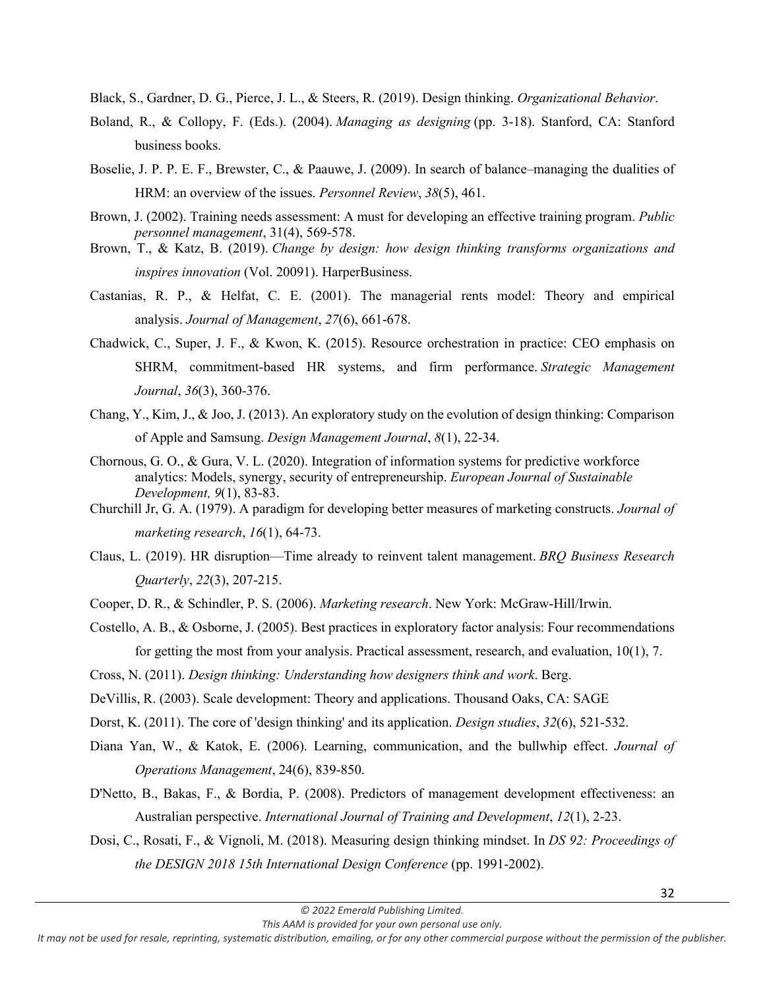Black, S., Gardner, D. G., Pierce, J. L., & Steers, R. (2019). Design thinking. *Organizational Behavior*.

- Boland, R., & Collopy, F. (Eds.). (2004). *Managing as designing* (pp. 3-18). Stanford, CA: Stanford business books.
- Boselie, J. P. P. E. F., Brewster, C., & Paauwe, J. (2009). In search of balance–managing the dualities of HRM: an overview of the issues. *Personnel Review*, *38*(5), 461.
- Brown, J. (2002). Training needs assessment: A must for developing an effective training program. *Public personnel management*, 31(4), 569-578.
- Brown, T., & Katz, B. (2019). *Change by design: how design thinking transforms organizations and inspires innovation* (Vol. 20091). HarperBusiness.
- Castanias, R. P., & Helfat, C. E. (2001). The managerial rents model: Theory and empirical analysis. *Journal of Management*, *27*(6), 661-678.
- Chadwick, C., Super, J. F., & Kwon, K. (2015). Resource orchestration in practice: CEO emphasis on SHRM, commitment‐based HR systems, and firm performance. *Strategic Management Journal*, *36*(3), 360-376.
- Chang, Y., Kim, J., & Joo, J. (2013). An exploratory study on the evolution of design thinking: Comparison of Apple and Samsung. *Design Management Journal*, *8*(1), 22-34.
- Chornous, G. O., & Gura, V. L. (2020). Integration of information systems for predictive workforce analytics: Models, synergy, security of entrepreneurship. *European Journal of Sustainable Development, 9*(1), 83-83.
- Churchill Jr, G. A. (1979). A paradigm for developing better measures of marketing constructs. *Journal of marketing research*, *16*(1), 64-73.
- Claus, L. (2019). HR disruption—Time already to reinvent talent management. *BRQ Business Research Quarterly*, *22*(3), 207-215.
- Cooper, D. R., & Schindler, P. S. (2006). *Marketing research*. New York: McGraw-Hill/Irwin.
- Costello, A. B., & Osborne, J. (2005). Best practices in exploratory factor analysis: Four recommendations for getting the most from your analysis. Practical assessment, research, and evaluation, 10(1), 7.
- Cross, N. (2011). *Design thinking: Understanding how designers think and work*. Berg.
- DeVillis, R. (2003). Scale development: Theory and applications. Thousand Oaks, CA: SAGE
- Dorst, K. (2011). The core of 'design thinking' and its application. *Design studies*, *32*(6), 521-532.
- Diana Yan, W., & Katok, E. (2006). Learning, communication, and the bullwhip effect. *Journal of Operations Management*, 24(6), 839-850.
- D'Netto, B., Bakas, F., & Bordia, P. (2008). Predictors of management development effectiveness: an Australian perspective. *International Journal of Training and Development*, *12*(1), 2-23.
- Dosi, C., Rosati, F., & Vignoli, M. (2018). Measuring design thinking mindset. In *DS 92: Proceedings of the DESIGN 2018 15th International Design Conference* (pp. 1991-2002).

*This AAM is provided for your own personal use only.*

*It may not be used for resale, reprinting, systematic distribution, emailing, or for any other commercial purpose without the permission of the publisher.*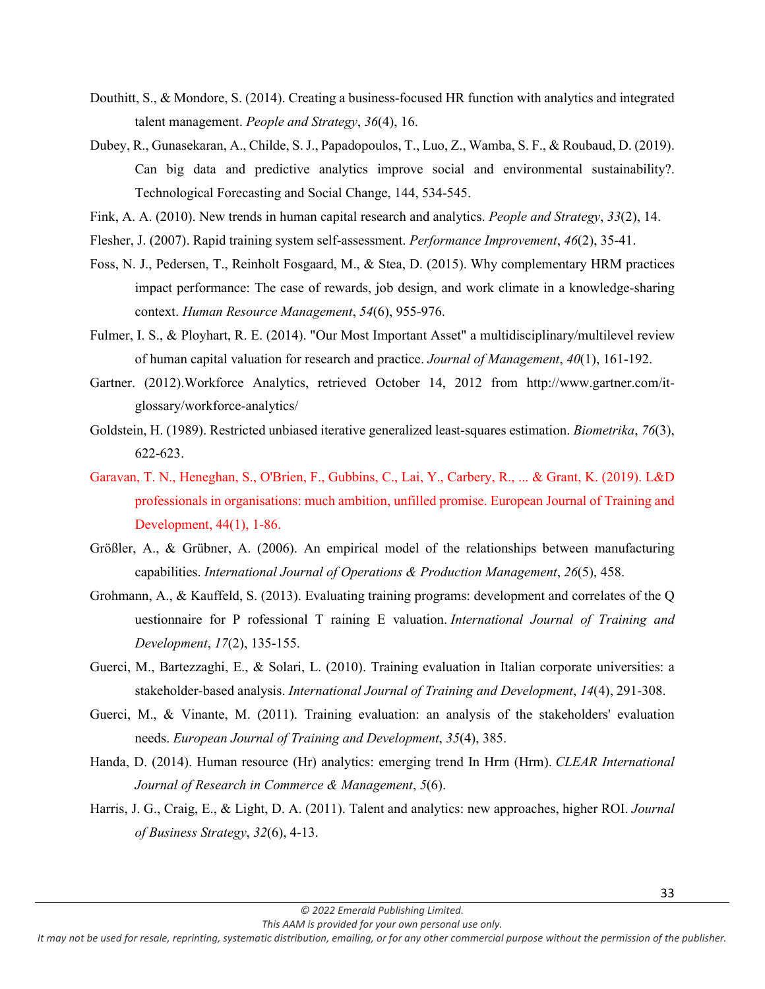- Douthitt, S., & Mondore, S. (2014). Creating a business-focused HR function with analytics and integrated talent management. *People and Strategy*, *36*(4), 16.
- Dubey, R., Gunasekaran, A., Childe, S. J., Papadopoulos, T., Luo, Z., Wamba, S. F., & Roubaud, D. (2019). Can big data and predictive analytics improve social and environmental sustainability?. Technological Forecasting and Social Change, 144, 534-545.
- Fink, A. A. (2010). New trends in human capital research and analytics. *People and Strategy*, *33*(2), 14.
- Flesher, J. (2007). Rapid training system self‐assessment. *Performance Improvement*, *46*(2), 35-41.
- Foss, N. J., Pedersen, T., Reinholt Fosgaard, M., & Stea, D. (2015). Why complementary HRM practices impact performance: The case of rewards, job design, and work climate in a knowledge-sharing context. *Human Resource Management*, *54*(6), 955-976.
- Fulmer, I. S., & Ployhart, R. E. (2014). "Our Most Important Asset" a multidisciplinary/multilevel review of human capital valuation for research and practice. *Journal of Management*, *40*(1), 161-192.
- Gartner. (2012).Workforce Analytics, retrieved October 14, 2012 from http://www.gartner.com/itglossary/workforce-analytics/
- Goldstein, H. (1989). Restricted unbiased iterative generalized least-squares estimation. *Biometrika*, *76*(3), 622-623.
- Garavan, T. N., Heneghan, S., O'Brien, F., Gubbins, C., Lai, Y., Carbery, R., ... & Grant, K. (2019). L&D professionals in organisations: much ambition, unfilled promise. European Journal of Training and Development, 44(1), 1-86.
- Größler, A., & Grübner, A. (2006). An empirical model of the relationships between manufacturing capabilities. *International Journal of Operations & Production Management*, *26*(5), 458.
- Grohmann, A., & Kauffeld, S. (2013). Evaluating training programs: development and correlates of the Q uestionnaire for P rofessional T raining E valuation. *International Journal of Training and Development*, *17*(2), 135-155.
- Guerci, M., Bartezzaghi, E., & Solari, L. (2010). Training evaluation in Italian corporate universities: a stakeholder‐based analysis. *International Journal of Training and Development*, *14*(4), 291-308.
- Guerci, M., & Vinante, M. (2011). Training evaluation: an analysis of the stakeholders' evaluation needs. *European Journal of Training and Development*, *35*(4), 385.
- Handa, D. (2014). Human resource (Hr) analytics: emerging trend In Hrm (Hrm). *CLEAR International Journal of Research in Commerce & Management*, *5*(6).
- Harris, J. G., Craig, E., & Light, D. A. (2011). Talent and analytics: new approaches, higher ROI. *Journal of Business Strategy*, *32*(6), 4-13.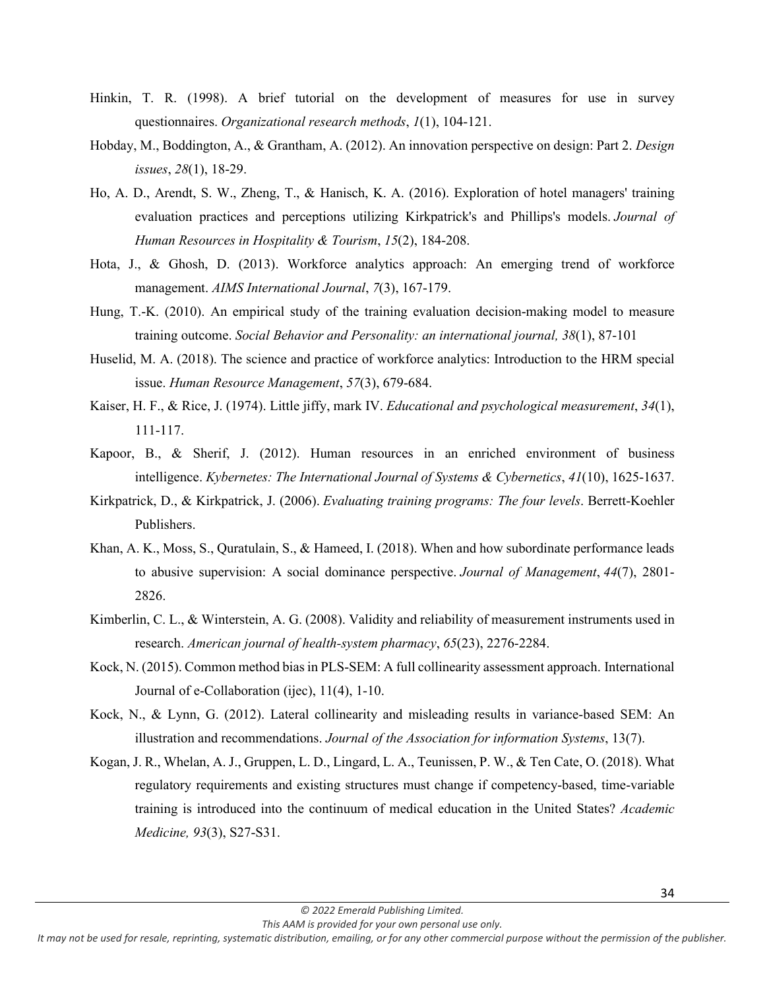- Hinkin, T. R. (1998). A brief tutorial on the development of measures for use in survey questionnaires. *Organizational research methods*, *1*(1), 104-121.
- Hobday, M., Boddington, A., & Grantham, A. (2012). An innovation perspective on design: Part 2. *Design issues*, *28*(1), 18-29.
- Ho, A. D., Arendt, S. W., Zheng, T., & Hanisch, K. A. (2016). Exploration of hotel managers' training evaluation practices and perceptions utilizing Kirkpatrick's and Phillips's models. *Journal of Human Resources in Hospitality & Tourism*, *15*(2), 184-208.
- Hota, J., & Ghosh, D. (2013). Workforce analytics approach: An emerging trend of workforce management. *AIMS International Journal*, *7*(3), 167-179.
- Hung, T.-K. (2010). An empirical study of the training evaluation decision-making model to measure training outcome. *Social Behavior and Personality: an international journal, 38*(1), 87-101
- Huselid, M. A. (2018). The science and practice of workforce analytics: Introduction to the HRM special issue. *Human Resource Management*, *57*(3), 679-684.
- Kaiser, H. F., & Rice, J. (1974). Little jiffy, mark IV. *Educational and psychological measurement*, *34*(1), 111-117.
- Kapoor, B., & Sherif, J. (2012). Human resources in an enriched environment of business intelligence. *Kybernetes: The International Journal of Systems & Cybernetics*, *41*(10), 1625-1637.
- Kirkpatrick, D., & Kirkpatrick, J. (2006). *Evaluating training programs: The four levels*. Berrett-Koehler Publishers.
- Khan, A. K., Moss, S., Quratulain, S., & Hameed, I. (2018). When and how subordinate performance leads to abusive supervision: A social dominance perspective. *Journal of Management*, *44*(7), 2801- 2826.
- Kimberlin, C. L., & Winterstein, A. G. (2008). Validity and reliability of measurement instruments used in research. *American journal of health-system pharmacy*, *65*(23), 2276-2284.
- Kock, N. (2015). Common method bias in PLS-SEM: A full collinearity assessment approach. International Journal of e-Collaboration (ijec), 11(4), 1-10.
- Kock, N., & Lynn, G. (2012). Lateral collinearity and misleading results in variance-based SEM: An illustration and recommendations. *Journal of the Association for information Systems*, 13(7).
- Kogan, J. R., Whelan, A. J., Gruppen, L. D., Lingard, L. A., Teunissen, P. W., & Ten Cate, O. (2018). What regulatory requirements and existing structures must change if competency-based, time-variable training is introduced into the continuum of medical education in the United States? *Academic Medicine, 93*(3), S27-S31.

*It may not be used for resale, reprinting, systematic distribution, emailing, or for any other commercial purpose without the permission of the publisher.*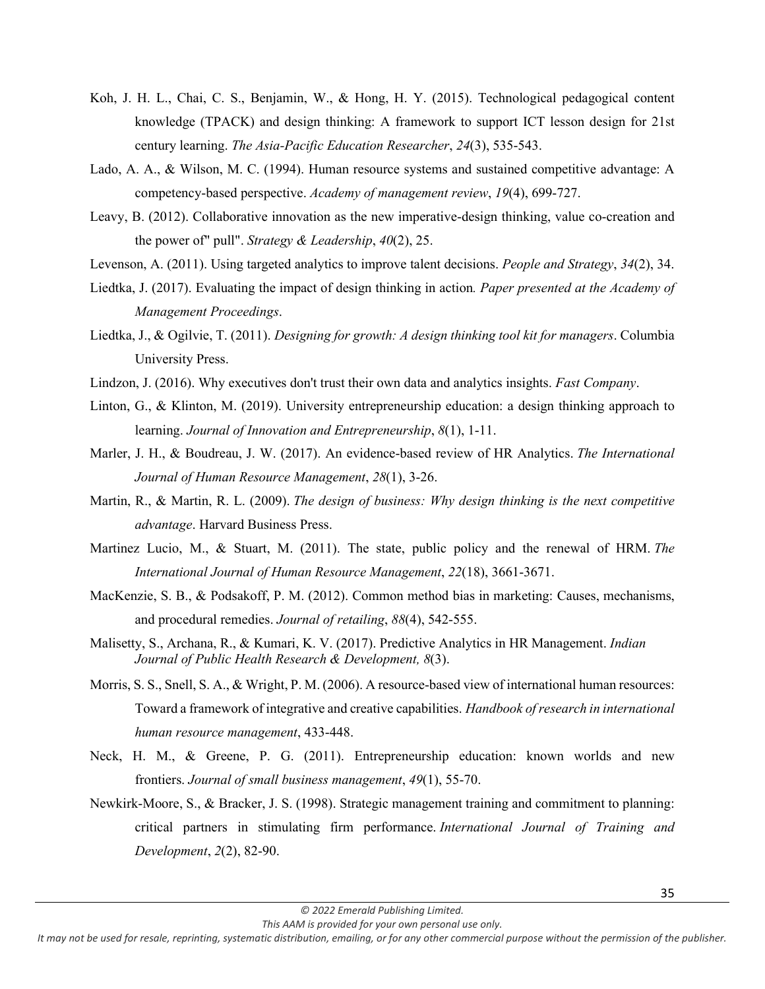- Koh, J. H. L., Chai, C. S., Benjamin, W., & Hong, H. Y. (2015). Technological pedagogical content knowledge (TPACK) and design thinking: A framework to support ICT lesson design for 21st century learning. *The Asia-Pacific Education Researcher*, *24*(3), 535-543.
- Lado, A. A., & Wilson, M. C. (1994). Human resource systems and sustained competitive advantage: A competency-based perspective. *Academy of management review*, *19*(4), 699-727.
- Leavy, B. (2012). Collaborative innovation as the new imperative-design thinking, value co-creation and the power of" pull". *Strategy & Leadership*, *40*(2), 25.
- Levenson, A. (2011). Using targeted analytics to improve talent decisions. *People and Strategy*, *34*(2), 34.
- Liedtka, J. (2017). Evaluating the impact of design thinking in action*. Paper presented at the Academy of Management Proceedings*.
- Liedtka, J., & Ogilvie, T. (2011). *Designing for growth: A design thinking tool kit for managers*. Columbia University Press.
- Lindzon, J. (2016). Why executives don't trust their own data and analytics insights. *Fast Company*.
- Linton, G., & Klinton, M. (2019). University entrepreneurship education: a design thinking approach to learning. *Journal of Innovation and Entrepreneurship*, *8*(1), 1-11.
- Marler, J. H., & Boudreau, J. W. (2017). An evidence-based review of HR Analytics. *The International Journal of Human Resource Management*, *28*(1), 3-26.
- Martin, R., & Martin, R. L. (2009). *The design of business: Why design thinking is the next competitive advantage*. Harvard Business Press.
- Martinez Lucio, M., & Stuart, M. (2011). The state, public policy and the renewal of HRM. *The International Journal of Human Resource Management*, *22*(18), 3661-3671.
- MacKenzie, S. B., & Podsakoff, P. M. (2012). Common method bias in marketing: Causes, mechanisms, and procedural remedies. *Journal of retailing*, *88*(4), 542-555.
- Malisetty, S., Archana, R., & Kumari, K. V. (2017). Predictive Analytics in HR Management. *Indian Journal of Public Health Research & Development, 8*(3).
- Morris, S. S., Snell, S. A., & Wright, P. M. (2006). A resource-based view of international human resources: Toward a framework of integrative and creative capabilities. *Handbook of research in international human resource management*, 433-448.
- Neck, H. M., & Greene, P. G. (2011). Entrepreneurship education: known worlds and new frontiers. *Journal of small business management*, *49*(1), 55-70.
- Newkirk‐Moore, S., & Bracker, J. S. (1998). Strategic management training and commitment to planning: critical partners in stimulating firm performance. *International Journal of Training and Development*, *2*(2), 82-90.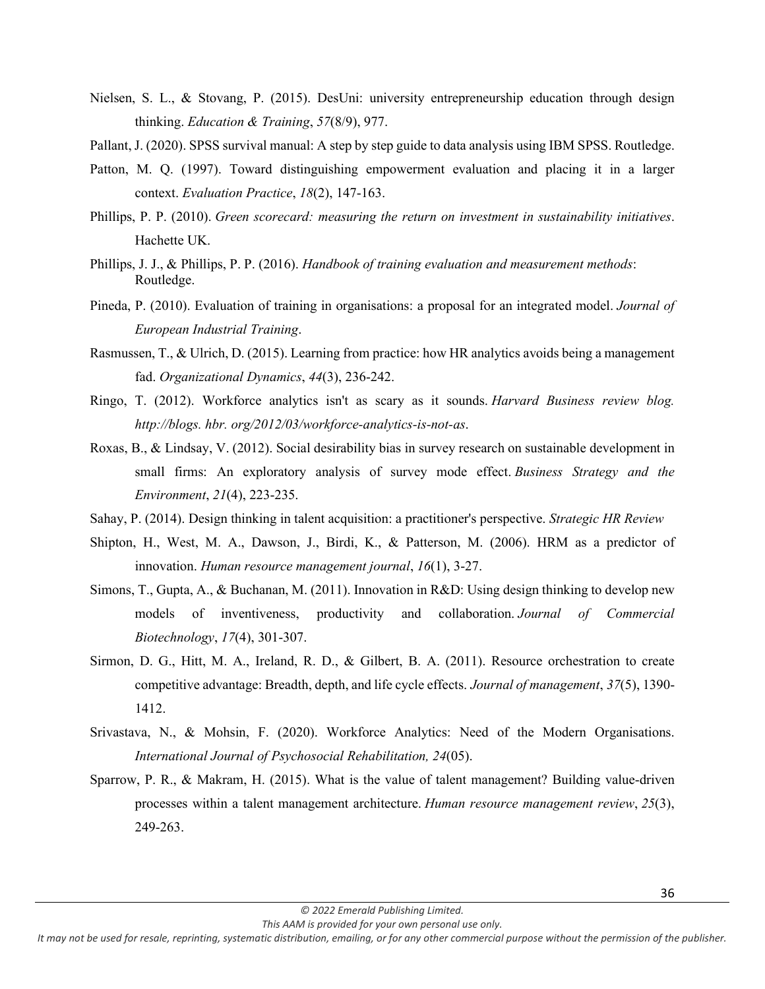- Nielsen, S. L., & Stovang, P. (2015). DesUni: university entrepreneurship education through design thinking. *Education & Training*, *57*(8/9), 977.
- Pallant, J. (2020). SPSS survival manual: A step by step guide to data analysis using IBM SPSS. Routledge.
- Patton, M. Q. (1997). Toward distinguishing empowerment evaluation and placing it in a larger context. *Evaluation Practice*, *18*(2), 147-163.
- Phillips, P. P. (2010). *Green scorecard: measuring the return on investment in sustainability initiatives*. Hachette UK.
- Phillips, J. J., & Phillips, P. P. (2016). *Handbook of training evaluation and measurement methods*: Routledge.
- Pineda, P. (2010). Evaluation of training in organisations: a proposal for an integrated model. *Journal of European Industrial Training*.
- Rasmussen, T., & Ulrich, D. (2015). Learning from practice: how HR analytics avoids being a management fad. *Organizational Dynamics*, *44*(3), 236-242.
- Ringo, T. (2012). Workforce analytics isn't as scary as it sounds. *Harvard Business review blog. http://blogs. hbr. org/2012/03/workforce-analytics-is-not-as*.
- Roxas, B., & Lindsay, V. (2012). Social desirability bias in survey research on sustainable development in small firms: An exploratory analysis of survey mode effect. *Business Strategy and the Environment*, *21*(4), 223-235.
- Sahay, P. (2014). Design thinking in talent acquisition: a practitioner's perspective. *Strategic HR Review*
- Shipton, H., West, M. A., Dawson, J., Birdi, K., & Patterson, M. (2006). HRM as a predictor of innovation. *Human resource management journal*, *16*(1), 3-27.
- Simons, T., Gupta, A., & Buchanan, M. (2011). Innovation in R&D: Using design thinking to develop new models of inventiveness, productivity and collaboration. *Journal of Commercial Biotechnology*, *17*(4), 301-307.
- Sirmon, D. G., Hitt, M. A., Ireland, R. D., & Gilbert, B. A. (2011). Resource orchestration to create competitive advantage: Breadth, depth, and life cycle effects. *Journal of management*, *37*(5), 1390- 1412.
- Srivastava, N., & Mohsin, F. (2020). Workforce Analytics: Need of the Modern Organisations. *International Journal of Psychosocial Rehabilitation, 24*(05).
- Sparrow, P. R., & Makram, H. (2015). What is the value of talent management? Building value-driven processes within a talent management architecture. *Human resource management review*, *25*(3), 249-263.